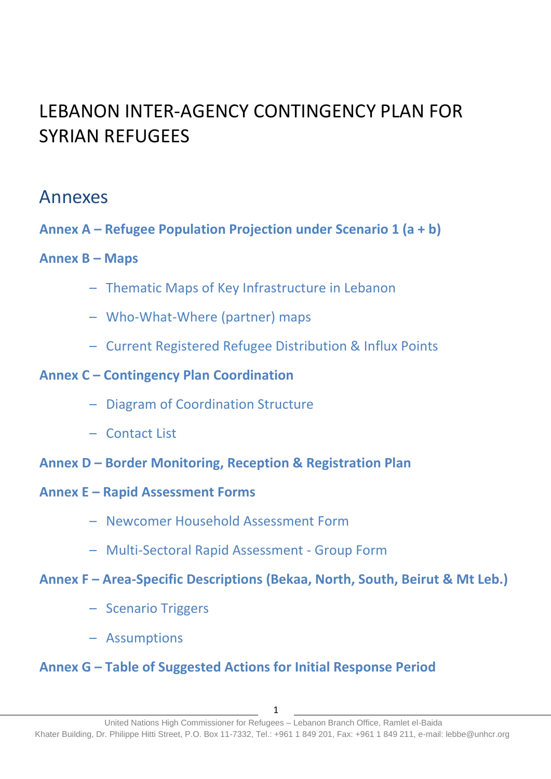# LEBANON INTER-AGENCY CONTINGENCY PLAN FOR SYRIAN REFUGEES

# Annexes

**Annex A – Refugee Population Projection under Scenario 1 (a + b)**

### **Annex B – Maps**

- Thematic Maps of Key Infrastructure in Lebanon
- Who-What-Where (partner) maps
- Current Registered Refugee Distribution & Influx Points

### **Annex C – Contingency Plan Coordination**

- Diagram of Coordination Structure
- Contact List
- **Annex D – Border Monitoring, Reception & Registration Plan**
- **Annex E – Rapid Assessment Forms**
	- Newcomer Household Assessment Form
	- Multi-Sectoral Rapid Assessment Group Form

### **Annex F – Area-Specific Descriptions (Bekaa, North, South, Beirut & Mt Leb.)**

- Scenario Triggers
- Assumptions

# **Annex G – Table of Suggested Actions for Initial Response Period**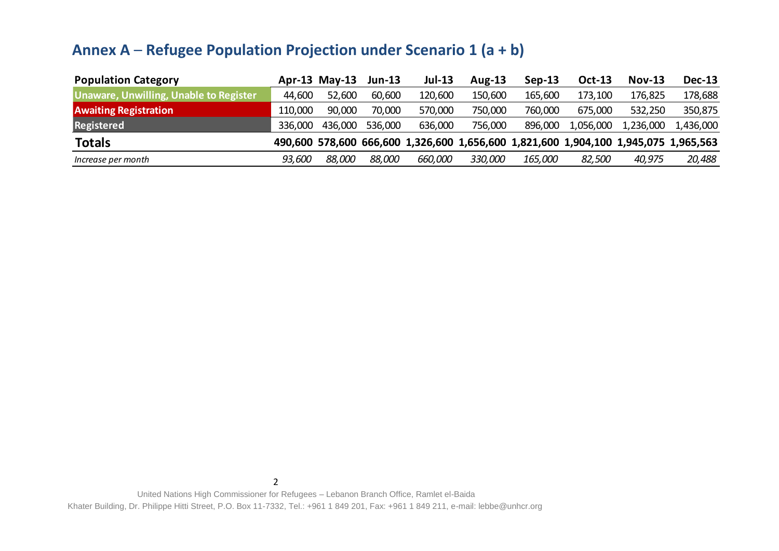# **Annex A** – **Refugee Population Projection under Scenario 1 (a + b)**

| <b>Population Category</b>             |         | Apr-13 May-13 | $Jun-13$ | <b>Jul-13</b> | Aug-13  | $Sep-13$ | Oct-13    | <b>Nov-13</b> | <b>Dec-13</b>                                                                       |
|----------------------------------------|---------|---------------|----------|---------------|---------|----------|-----------|---------------|-------------------------------------------------------------------------------------|
| Unaware, Unwilling, Unable to Register | 44,600  | 52,600        | 60,600   | 120,600       | 150,600 | 165,600  | 173,100   | 176,825       | 178,688                                                                             |
| <b>Awaiting Registration</b>           | 110,000 | 90,000        | 70,000   | 570,000       | 750,000 | 760,000  | 675,000   | 532,250       | 350,875                                                                             |
| Registered                             | 336,000 | 436,000       | 536,000  | 636,000       | 756,000 | 896,000  | 1,056,000 | 1,236,000     | 1,436,000                                                                           |
| <b>Totals</b>                          |         |               |          |               |         |          |           |               | 490,600 578,600 666,600 1,326,600 1,656,600 1,821,600 1,904,100 1,945,075 1,965,563 |
| Increase per month                     | 93,600  | 88,000        | 88,000   | 660,000       | 330,000 | 165,000  | 82,500    | 40,975        | 20,488                                                                              |

2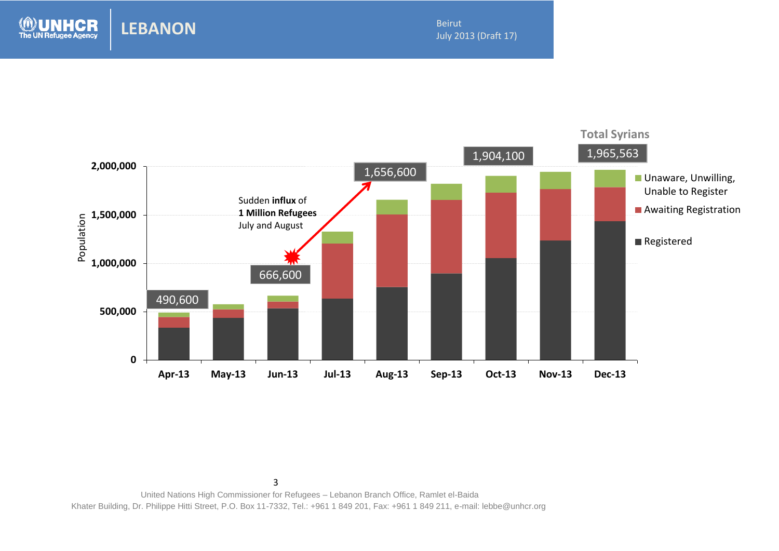Beirut July 2013 (Draft 17)

2013<br>2013 - Paul Barnett, amerikansk matematik<br>2013 - Paul Barnett, amerikansk matematik



3

**LEBANON**

**CR** 

**The UN Refugee Agency**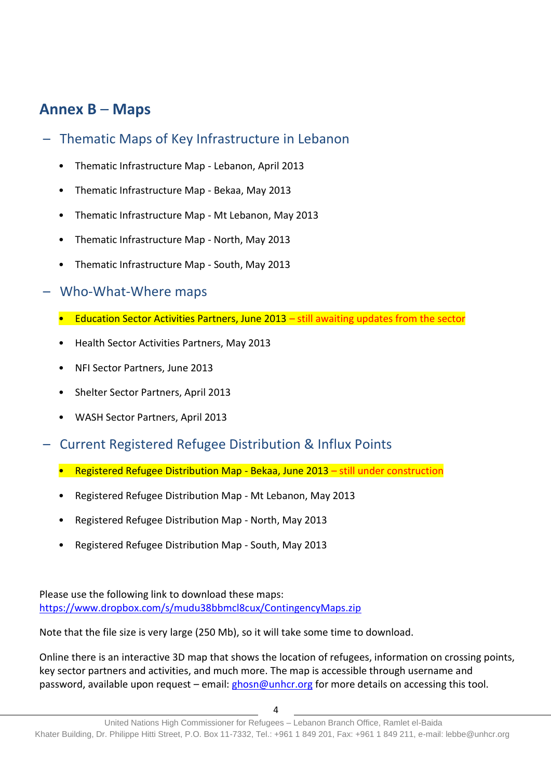# **Annex B** – **Maps**

- Thematic Maps of Key Infrastructure in Lebanon
	- Thematic Infrastructure Map Lebanon, April 2013
	- Thematic Infrastructure Map Bekaa, May 2013
	- Thematic Infrastructure Map Mt Lebanon, May 2013
	- Thematic Infrastructure Map North, May 2013
	- Thematic Infrastructure Map South, May 2013
- Who-What-Where maps
	- Education Sector Activities Partners, June 2013 still awaiting updates from the sector
	- Health Sector Activities Partners, May 2013
	- NFI Sector Partners, June 2013
	- Shelter Sector Partners, April 2013
	- WASH Sector Partners, April 2013
- Current Registered Refugee Distribution & Influx Points
	- Registered Refugee Distribution Map Bekaa, June 2013 still under construction
	- Registered Refugee Distribution Map Mt Lebanon, May 2013
	- Registered Refugee Distribution Map North, May 2013
	- Registered Refugee Distribution Map South, May 2013

Please use the following link to download these maps: https://www.dropbox.com/s/mudu38bbmcl8cux/ContingencyMaps.zip

Note that the file size is very large (250 Mb), so it will take some time to download.

Online there is an interactive 3D map that shows the location of refugees, information on crossing points, key sector partners and activities, and much more. The map is accessible through username and password, available upon request – email:  $\frac{g \cos \omega}{g}$ unhcr.org for more details on accessing this tool.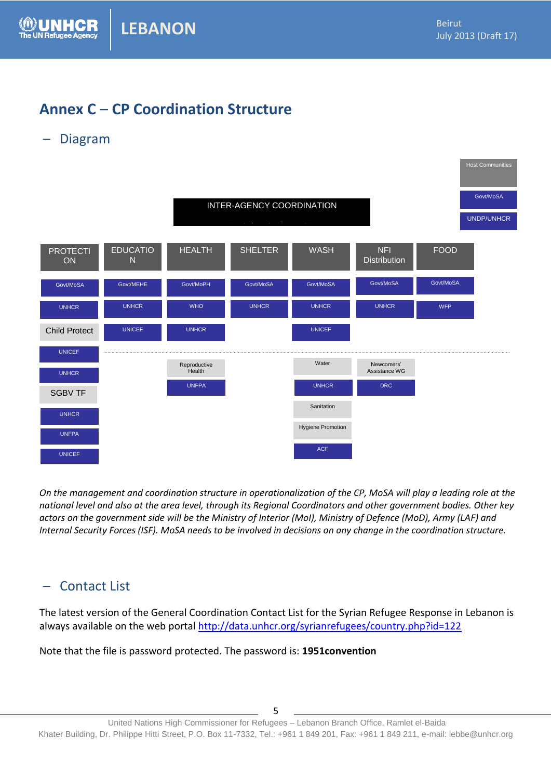# **Annex C** – **CP Coordination Structure**

– Diagram



*On the management and coordination structure in operationalization of the CP, MoSA will play a leading role at the national level and also at the area level, through its Regional Coordinators and other government bodies. Other key actors on the government side will be the Ministry of Interior (MoI), Ministry of Defence (MoD), Army (LAF) and Internal Security Forces (ISF). MoSA needs to be involved in decisions on any change in the coordination structure.*

### – Contact List

The latest version of the General Coordination Contact List for the Syrian Refugee Response in Lebanon is always available on the web portal<http://data.unhcr.org/syrianrefugees/country.php?id=122>

Note that the file is password protected. The password is: **1951convention**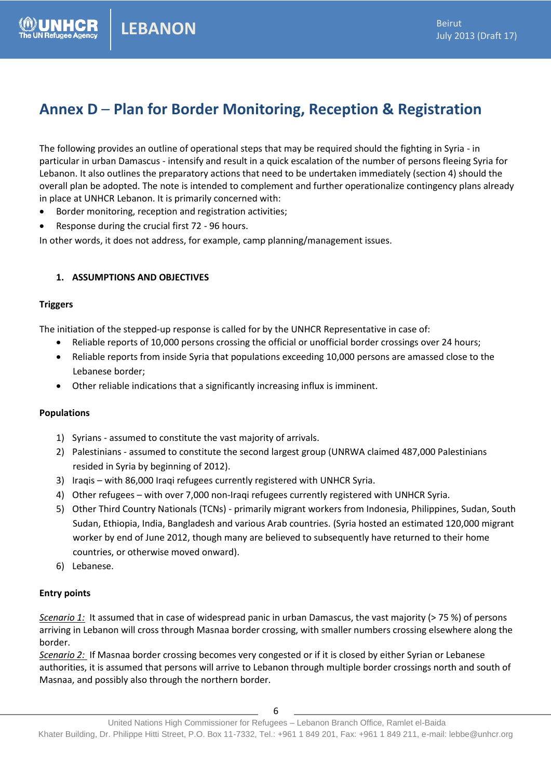# **Annex D** – **Plan for Border Monitoring, Reception & Registration**

The following provides an outline of operational steps that may be required should the fighting in Syria - in particular in urban Damascus - intensify and result in a quick escalation of the number of persons fleeing Syria for Lebanon. It also outlines the preparatory actions that need to be undertaken immediately (section 4) should the overall plan be adopted. The note is intended to complement and further operationalize contingency plans already in place at UNHCR Lebanon. It is primarily concerned with:

- Border monitoring, reception and registration activities;
- Response during the crucial first 72 96 hours.

In other words, it does not address, for example, camp planning/management issues.

#### **1. ASSUMPTIONS AND OBJECTIVES**

#### **Triggers**

The initiation of the stepped-up response is called for by the UNHCR Representative in case of:

- Reliable reports of 10,000 persons crossing the official or unofficial border crossings over 24 hours;
- Reliable reports from inside Syria that populations exceeding 10,000 persons are amassed close to the Lebanese border;
- Other reliable indications that a significantly increasing influx is imminent.

#### **Populations**

- 1) Syrians assumed to constitute the vast majority of arrivals.
- 2) Palestinians assumed to constitute the second largest group (UNRWA claimed 487,000 Palestinians resided in Syria by beginning of 2012).
- 3) Iraqis with 86,000 Iraqi refugees currently registered with UNHCR Syria.
- 4) Other refugees with over 7,000 non-Iraqi refugees currently registered with UNHCR Syria.
- 5) Other Third Country Nationals (TCNs) primarily migrant workers from Indonesia, Philippines, Sudan, South Sudan, Ethiopia, India, Bangladesh and various Arab countries. (Syria hosted an estimated 120,000 migrant worker by end of June 2012, though many are believed to subsequently have returned to their home countries, or otherwise moved onward).
- 6) Lebanese.

#### **Entry points**

*Scenario 1:*It assumed that in case of widespread panic in urban Damascus, the vast majority (> 75 %) of persons arriving in Lebanon will cross through Masnaa border crossing, with smaller numbers crossing elsewhere along the border.

*Scenario 2:* If Masnaa border crossing becomes very congested or if it is closed by either Syrian or Lebanese authorities, it is assumed that persons will arrive to Lebanon through multiple border crossings north and south of Masnaa, and possibly also through the northern border.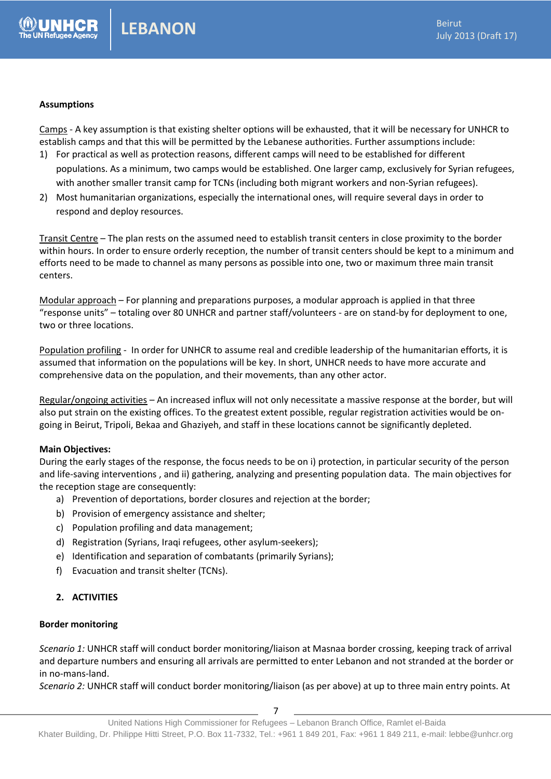#### **Assumptions**

Camps - A key assumption is that existing shelter options will be exhausted, that it will be necessary for UNHCR to establish camps and that this will be permitted by the Lebanese authorities. Further assumptions include:

- 1) For practical as well as protection reasons, different camps will need to be established for different populations. As a minimum, two camps would be established. One larger camp, exclusively for Syrian refugees, with another smaller transit camp for TCNs (including both migrant workers and non-Syrian refugees).
- 2) Most humanitarian organizations, especially the international ones, will require several days in order to respond and deploy resources.

Transit Centre – The plan rests on the assumed need to establish transit centers in close proximity to the border within hours. In order to ensure orderly reception, the number of transit centers should be kept to a minimum and efforts need to be made to channel as many persons as possible into one, two or maximum three main transit centers.

Modular approach – For planning and preparations purposes, a modular approach is applied in that three "response units" – totaling over 80 UNHCR and partner staff/volunteers - are on stand-by for deployment to one, two or three locations.

Population profiling - In order for UNHCR to assume real and credible leadership of the humanitarian efforts, it is assumed that information on the populations will be key. In short, UNHCR needs to have more accurate and comprehensive data on the population, and their movements, than any other actor.

Regular/ongoing activities – An increased influx will not only necessitate a massive response at the border, but will also put strain on the existing offices. To the greatest extent possible, regular registration activities would be ongoing in Beirut, Tripoli, Bekaa and Ghaziyeh, and staff in these locations cannot be significantly depleted.

#### **Main Objectives:**

During the early stages of the response, the focus needs to be on i) protection, in particular security of the person and life-saving interventions , and ii) gathering, analyzing and presenting population data. The main objectives for the reception stage are consequently:

- a) Prevention of deportations, border closures and rejection at the border;
- b) Provision of emergency assistance and shelter;
- c) Population profiling and data management;
- d) Registration (Syrians, Iraqi refugees, other asylum-seekers);
- e) Identification and separation of combatants (primarily Syrians);
- f) Evacuation and transit shelter (TCNs).

#### **2. ACTIVITIES**

#### **Border monitoring**

*Scenario 1:* UNHCR staff will conduct border monitoring/liaison at Masnaa border crossing, keeping track of arrival and departure numbers and ensuring all arrivals are permitted to enter Lebanon and not stranded at the border or in no-mans-land.

*Scenario 2:* UNHCR staff will conduct border monitoring/liaison (as per above) at up to three main entry points. At

7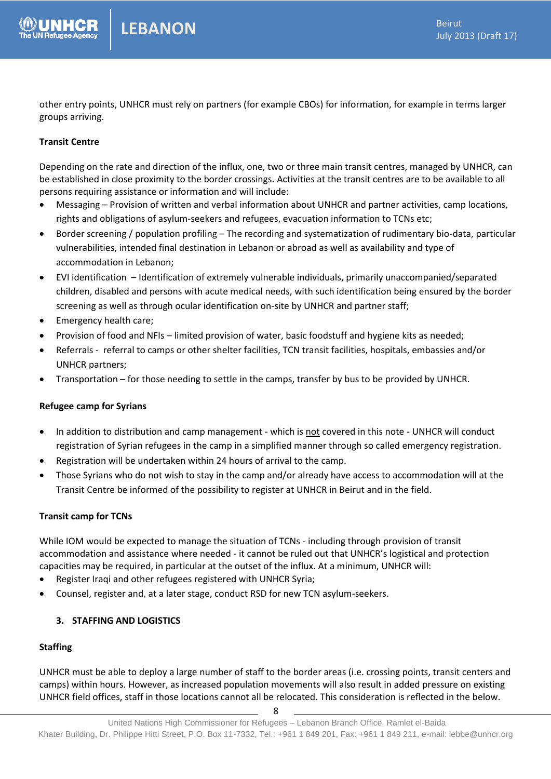other entry points, UNHCR must rely on partners (for example CBOs) for information, for example in terms larger groups arriving.

#### **Transit Centre**

Depending on the rate and direction of the influx, one, two or three main transit centres, managed by UNHCR, can be established in close proximity to the border crossings. Activities at the transit centres are to be available to all persons requiring assistance or information and will include:

- Messaging Provision of written and verbal information about UNHCR and partner activities, camp locations, rights and obligations of asylum-seekers and refugees, evacuation information to TCNs etc;
- Border screening / population profiling The recording and systematization of rudimentary bio-data, particular vulnerabilities, intended final destination in Lebanon or abroad as well as availability and type of accommodation in Lebanon;
- EVI identification Identification of extremely vulnerable individuals, primarily unaccompanied/separated children, disabled and persons with acute medical needs, with such identification being ensured by the border screening as well as through ocular identification on-site by UNHCR and partner staff;
- Emergency health care;
- Provision of food and NFIs limited provision of water, basic foodstuff and hygiene kits as needed;
- Referrals referral to camps or other shelter facilities, TCN transit facilities, hospitals, embassies and/or UNHCR partners;
- Transportation for those needing to settle in the camps, transfer by bus to be provided by UNHCR.

#### **Refugee camp for Syrians**

- In addition to distribution and camp management which is not covered in this note UNHCR will conduct registration of Syrian refugees in the camp in a simplified manner through so called emergency registration.
- Registration will be undertaken within 24 hours of arrival to the camp.
- Those Syrians who do not wish to stay in the camp and/or already have access to accommodation will at the Transit Centre be informed of the possibility to register at UNHCR in Beirut and in the field.

#### **Transit camp for TCNs**

While IOM would be expected to manage the situation of TCNs - including through provision of transit accommodation and assistance where needed - it cannot be ruled out that UNHCR's logistical and protection capacities may be required, in particular at the outset of the influx. At a minimum, UNHCR will:

- Register Iraqi and other refugees registered with UNHCR Syria;
- Counsel, register and, at a later stage, conduct RSD for new TCN asylum-seekers.

#### **3. STAFFING AND LOGISTICS**

#### **Staffing**

UNHCR must be able to deploy a large number of staff to the border areas (i.e. crossing points, transit centers and camps) within hours. However, as increased population movements will also result in added pressure on existing UNHCR field offices, staff in those locations cannot all be relocated. This consideration is reflected in the below.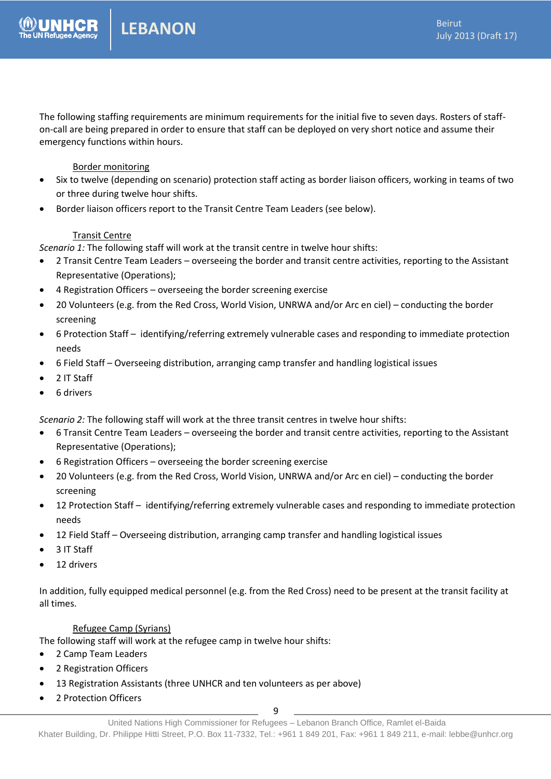The following staffing requirements are minimum requirements for the initial five to seven days. Rosters of staffon-call are being prepared in order to ensure that staff can be deployed on very short notice and assume their emergency functions within hours.

#### Border monitoring

- Six to twelve (depending on scenario) protection staff acting as border liaison officers, working in teams of two or three during twelve hour shifts.
- Border liaison officers report to the Transit Centre Team Leaders (see below).

#### Transit Centre

*Scenario 1:* The following staff will work at the transit centre in twelve hour shifts:

- 2 Transit Centre Team Leaders overseeing the border and transit centre activities, reporting to the Assistant Representative (Operations);
- 4 Registration Officers overseeing the border screening exercise
- 20 Volunteers (e.g. from the Red Cross, World Vision, UNRWA and/or Arc en ciel) conducting the border screening
- 6 Protection Staff identifying/referring extremely vulnerable cases and responding to immediate protection needs
- 6 Field Staff Overseeing distribution, arranging camp transfer and handling logistical issues
- 2 IT Staff
- 6 drivers

*Scenario 2:* The following staff will work at the three transit centres in twelve hour shifts:

- 6 Transit Centre Team Leaders overseeing the border and transit centre activities, reporting to the Assistant Representative (Operations);
- 6 Registration Officers overseeing the border screening exercise
- 20 Volunteers (e.g. from the Red Cross, World Vision, UNRWA and/or Arc en ciel) conducting the border screening
- 12 Protection Staff identifying/referring extremely vulnerable cases and responding to immediate protection needs
- 12 Field Staff Overseeing distribution, arranging camp transfer and handling logistical issues
- 3 IT Staff
- 12 drivers

In addition, fully equipped medical personnel (e.g. from the Red Cross) need to be present at the transit facility at all times.

#### Refugee Camp (Syrians)

The following staff will work at the refugee camp in twelve hour shifts:

- 2 Camp Team Leaders
- 2 Registration Officers
- 13 Registration Assistants (three UNHCR and ten volunteers as per above)
- 2 Protection Officers

9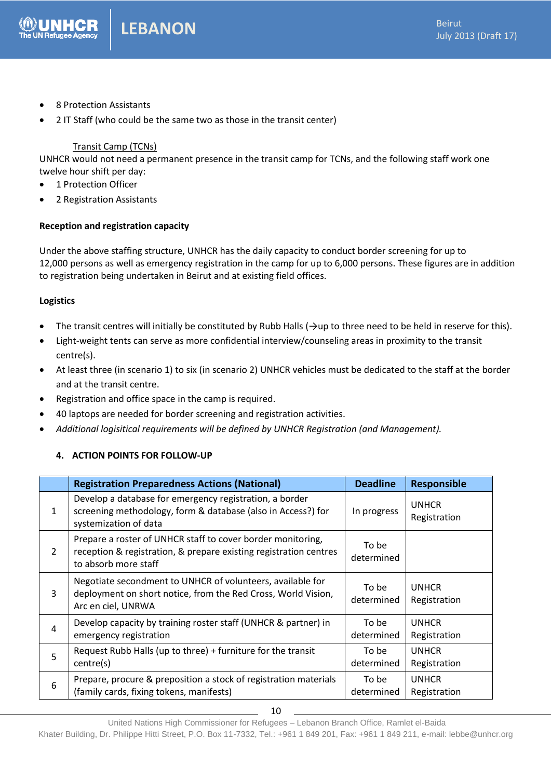- 8 Protection Assistants
- 2 IT Staff (who could be the same two as those in the transit center)

#### Transit Camp (TCNs)

UNHCR would not need a permanent presence in the transit camp for TCNs, and the following staff work one twelve hour shift per day:

- 1 Protection Officer
- 2 Registration Assistants

#### **Reception and registration capacity**

Under the above staffing structure, UNHCR has the daily capacity to conduct border screening for up to 12,000 persons as well as emergency registration in the camp for up to 6,000 persons. These figures are in addition to registration being undertaken in Beirut and at existing field offices.

#### **Logistics**

- The transit centres will initially be constituted by Rubb Halls ( $\rightarrow$ up to three need to be held in reserve for this).
- Light-weight tents can serve as more confidential interview/counseling areas in proximity to the transit centre(s).
- At least three (in scenario 1) to six (in scenario 2) UNHCR vehicles must be dedicated to the staff at the border and at the transit centre.
- Registration and office space in the camp is required.
- 40 laptops are needed for border screening and registration activities.
- *Additional logisitical requirements will be defined by UNHCR Registration (and Management).*

#### **4. ACTION POINTS FOR FOLLOW-UP**

|                | <b>Registration Preparedness Actions (National)</b>                                                                                                      | <b>Deadline</b>     | <b>Responsible</b>           |
|----------------|----------------------------------------------------------------------------------------------------------------------------------------------------------|---------------------|------------------------------|
| 1              | Develop a database for emergency registration, a border<br>screening methodology, form & database (also in Access?) for<br>systemization of data         | In progress         | <b>UNHCR</b><br>Registration |
| $\overline{2}$ | Prepare a roster of UNHCR staff to cover border monitoring,<br>reception & registration, & prepare existing registration centres<br>to absorb more staff | To be<br>determined |                              |
| 3              | Negotiate secondment to UNHCR of volunteers, available for<br>deployment on short notice, from the Red Cross, World Vision,<br>Arc en ciel, UNRWA        | To be<br>determined | <b>UNHCR</b><br>Registration |
| 4              | Develop capacity by training roster staff (UNHCR & partner) in<br>emergency registration                                                                 | To be<br>determined | <b>UNHCR</b><br>Registration |
| 5              | Request Rubb Halls (up to three) + furniture for the transit<br>centre(s)                                                                                | To be<br>determined | <b>UNHCR</b><br>Registration |
| 6              | Prepare, procure & preposition a stock of registration materials<br>(family cards, fixing tokens, manifests)                                             | To be<br>determined | <b>UNHCR</b><br>Registration |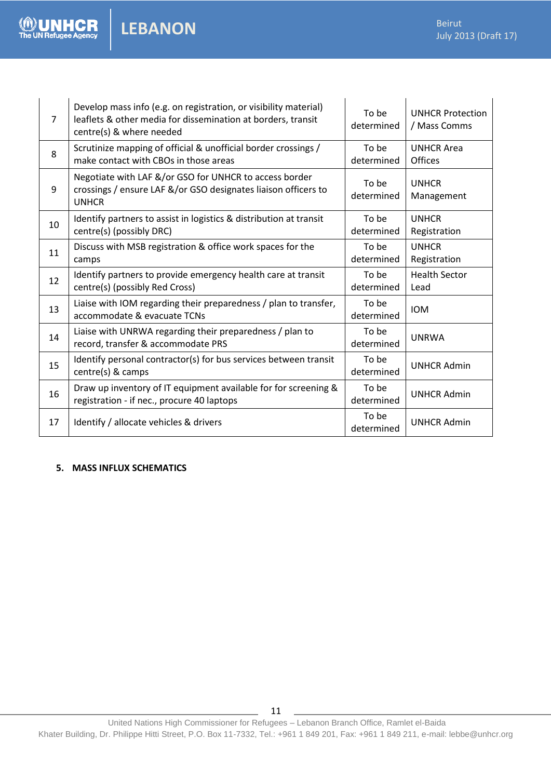| $\overline{7}$ | Develop mass info (e.g. on registration, or visibility material)<br>leaflets & other media for dissemination at borders, transit<br>centre(s) & where needed | To be<br>determined | <b>UNHCR Protection</b><br>/ Mass Comms |
|----------------|--------------------------------------------------------------------------------------------------------------------------------------------------------------|---------------------|-----------------------------------------|
| 8              | Scrutinize mapping of official & unofficial border crossings /<br>make contact with CBOs in those areas                                                      | To be<br>determined | <b>UNHCR Area</b><br><b>Offices</b>     |
| 9              | Negotiate with LAF &/or GSO for UNHCR to access border<br>crossings / ensure LAF &/or GSO designates liaison officers to<br><b>UNHCR</b>                     | To be<br>determined | <b>UNHCR</b><br>Management              |
| 10             | Identify partners to assist in logistics & distribution at transit<br>centre(s) (possibly DRC)                                                               | To be<br>determined | <b>UNHCR</b><br>Registration            |
| 11             | Discuss with MSB registration & office work spaces for the<br>camps                                                                                          | To be<br>determined | <b>UNHCR</b><br>Registration            |
| 12             | Identify partners to provide emergency health care at transit<br>centre(s) (possibly Red Cross)                                                              | To be<br>determined | <b>Health Sector</b><br>Lead            |
| 13             | Liaise with IOM regarding their preparedness / plan to transfer,<br>accommodate & evacuate TCNs                                                              | To be<br>determined | <b>IOM</b>                              |
| 14             | Liaise with UNRWA regarding their preparedness / plan to<br>record, transfer & accommodate PRS                                                               | To be<br>determined | <b>UNRWA</b>                            |
| 15             | Identify personal contractor(s) for bus services between transit<br>centre(s) & camps                                                                        | To be<br>determined | <b>UNHCR Admin</b>                      |
| 16             | Draw up inventory of IT equipment available for for screening &<br>registration - if nec., procure 40 laptops                                                | To be<br>determined | <b>UNHCR Admin</b>                      |
| 17             | Identify / allocate vehicles & drivers                                                                                                                       | To be<br>determined | <b>UNHCR Admin</b>                      |

#### **5. MASS INFLUX SCHEMATICS**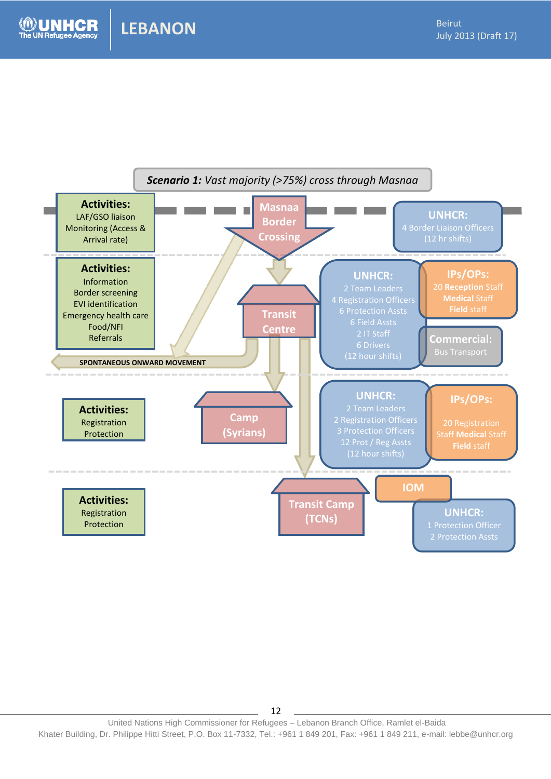**NHCR** 

2013

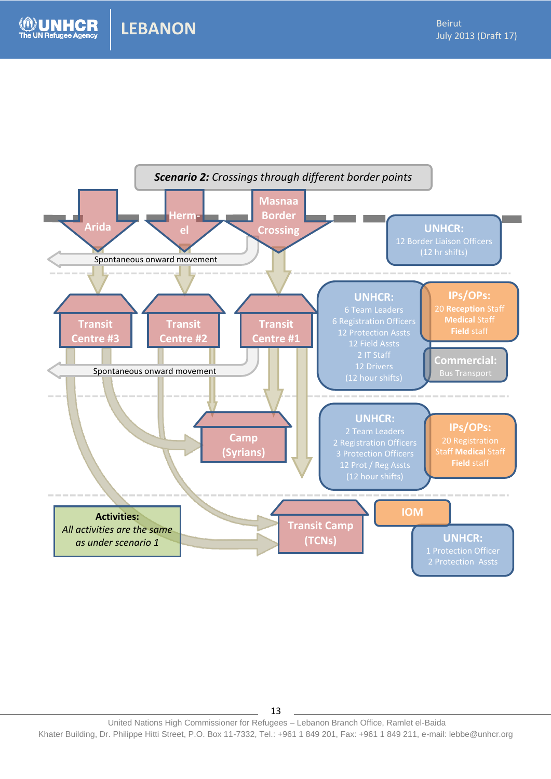

United Nations High Commissioner for Refugees – Lebanon Branch Office, Ramlet el-Baida Khater Building, Dr. Philippe Hitti Street, P.O. Box 11-7332, Tel.: +961 1 849 201, Fax: +961 1 849 211, e-mail: lebbe@unhcr.org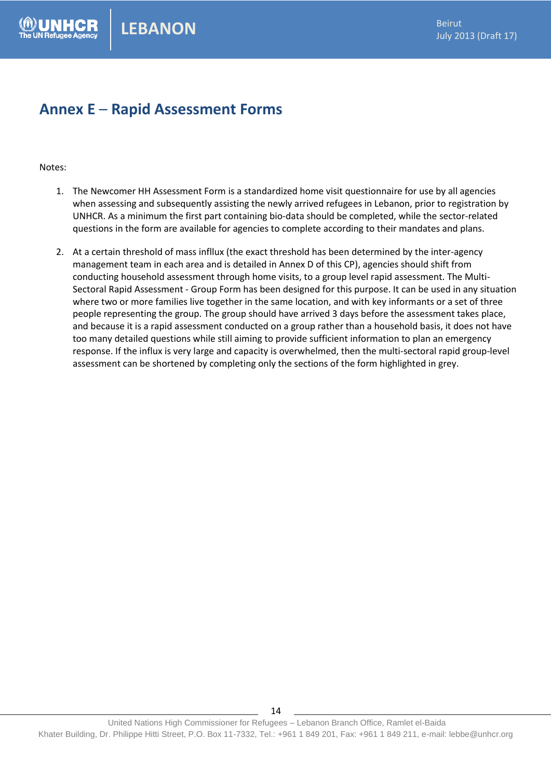### **Annex E** – **Rapid Assessment Forms**

#### Notes:

- 1. The Newcomer HH Assessment Form is a standardized home visit questionnaire for use by all agencies when assessing and subsequently assisting the newly arrived refugees in Lebanon, prior to registration by UNHCR. As a minimum the first part containing bio-data should be completed, while the sector-related questions in the form are available for agencies to complete according to their mandates and plans.
- 2. At a certain threshold of mass infllux (the exact threshold has been determined by the inter-agency management team in each area and is detailed in Annex D of this CP), agencies should shift from conducting household assessment through home visits, to a group level rapid assessment. The Multi-Sectoral Rapid Assessment - Group Form has been designed for this purpose. It can be used in any situation where two or more families live together in the same location, and with key informants or a set of three people representing the group. The group should have arrived 3 days before the assessment takes place, and because it is a rapid assessment conducted on a group rather than a household basis, it does not have too many detailed questions while still aiming to provide sufficient information to plan an emergency response. If the influx is very large and capacity is overwhelmed, then the multi-sectoral rapid group-level assessment can be shortened by completing only the sections of the form highlighted in grey.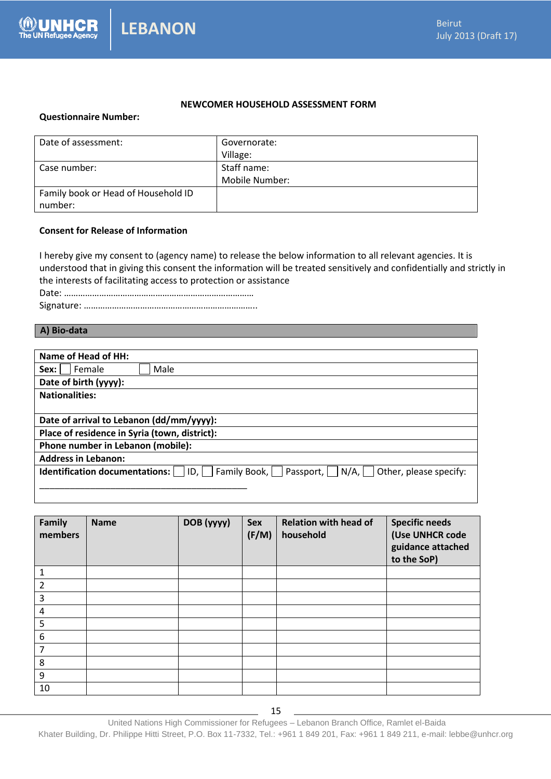#### **NEWCOMER HOUSEHOLD ASSESSMENT FORM**

#### **Questionnaire Number:**

| Date of assessment:                 | Governorate:   |
|-------------------------------------|----------------|
|                                     | Village:       |
| Case number:                        | Staff name:    |
|                                     | Mobile Number: |
| Family book or Head of Household ID |                |
| number:                             |                |

#### **Consent for Release of Information**

I hereby give my consent to (agency name) to release the below information to all relevant agencies. It is understood that in giving this consent the information will be treated sensitively and confidentially and strictly in the interests of facilitating access to protection or assistance Date: ………………………………………………………………………

Signature: ………………………………………………………………..

#### **A) Bio-data**

| Name of Head of HH:                                                                                      |
|----------------------------------------------------------------------------------------------------------|
| Female<br>Male<br>Sex:                                                                                   |
| Date of birth (yyyy):                                                                                    |
| <b>Nationalities:</b>                                                                                    |
|                                                                                                          |
| Date of arrival to Lebanon (dd/mm/yyyy):                                                                 |
| Place of residence in Syria (town, district):                                                            |
| Phone number in Lebanon (mobile):                                                                        |
| <b>Address in Lebanon:</b>                                                                               |
| Family Book,    <br>Passport, $  N/A $ Other, please specify:<br> D,  <br>Identification documentations: |
|                                                                                                          |

| Family<br>members | <b>Name</b> | DOB (yyyy) | Sex<br>(F/M) | <b>Relation with head of</b><br>household | <b>Specific needs</b><br>(Use UNHCR code<br>guidance attached<br>to the SoP) |
|-------------------|-------------|------------|--------------|-------------------------------------------|------------------------------------------------------------------------------|
| 1                 |             |            |              |                                           |                                                                              |
| 2                 |             |            |              |                                           |                                                                              |
| 3                 |             |            |              |                                           |                                                                              |
| 4                 |             |            |              |                                           |                                                                              |
| 5                 |             |            |              |                                           |                                                                              |
| 6                 |             |            |              |                                           |                                                                              |
| 7                 |             |            |              |                                           |                                                                              |
| 8                 |             |            |              |                                           |                                                                              |
| 9                 |             |            |              |                                           |                                                                              |
| 10                |             |            |              |                                           |                                                                              |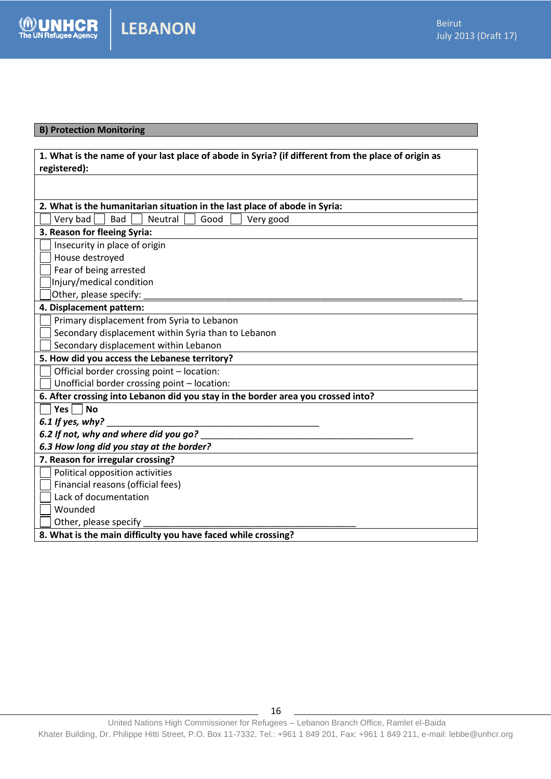#### **B) Protection Monitoring**

**UNHCR** 

| 1. What is the name of your last place of abode in Syria? (if different from the place of origin as |
|-----------------------------------------------------------------------------------------------------|
| registered):                                                                                        |
|                                                                                                     |
|                                                                                                     |
| 2. What is the humanitarian situation in the last place of abode in Syria:                          |
| Very bad<br>Bad<br>Neutral<br>Good<br>Very good                                                     |
| 3. Reason for fleeing Syria:                                                                        |
| Insecurity in place of origin                                                                       |
| House destroyed                                                                                     |
| Fear of being arrested                                                                              |
| Injury/medical condition                                                                            |
| Other, please specify:                                                                              |
| 4. Displacement pattern:                                                                            |
| Primary displacement from Syria to Lebanon                                                          |
| Secondary displacement within Syria than to Lebanon                                                 |
| Secondary displacement within Lebanon                                                               |
| 5. How did you access the Lebanese territory?                                                       |
| Official border crossing point - location:                                                          |
| Unofficial border crossing point - location:                                                        |
| 6. After crossing into Lebanon did you stay in the border area you crossed into?                    |
| Yes $\Box$<br><b>No</b>                                                                             |
| 6.1 If yes, why?                                                                                    |
| 6.2 If not, why and where did you go?                                                               |
| 6.3 How long did you stay at the border?                                                            |
| 7. Reason for irregular crossing?                                                                   |
| Political opposition activities                                                                     |
| Financial reasons (official fees)                                                                   |
| Lack of documentation                                                                               |
| Wounded                                                                                             |
| Other, please specify                                                                               |
| 8. What is the main difficulty you have faced while crossing?                                       |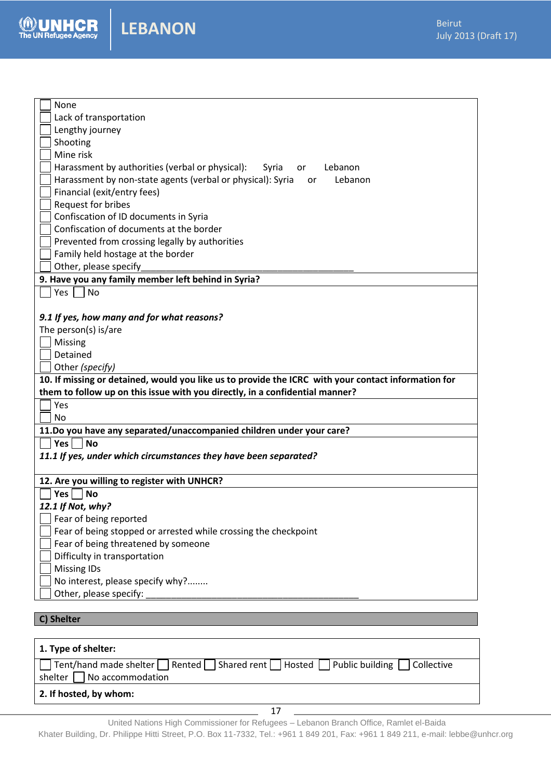

Ш

| None                                                                                                |
|-----------------------------------------------------------------------------------------------------|
| Lack of transportation                                                                              |
| Lengthy journey                                                                                     |
| Shooting                                                                                            |
| Mine risk                                                                                           |
| Harassment by authorities (verbal or physical):<br>Lebanon<br>Syria<br>or                           |
| Harassment by non-state agents (verbal or physical): Syria<br>Lebanon<br>or                         |
| Financial (exit/entry fees)                                                                         |
| Request for bribes                                                                                  |
| Confiscation of ID documents in Syria                                                               |
| Confiscation of documents at the border                                                             |
| Prevented from crossing legally by authorities                                                      |
| Family held hostage at the border                                                                   |
| Other, please specify                                                                               |
| 9. Have you any family member left behind in Syria?                                                 |
| Yes<br><b>No</b>                                                                                    |
|                                                                                                     |
| 9.1 If yes, how many and for what reasons?                                                          |
| The person(s) is/are                                                                                |
| Missing                                                                                             |
| Detained                                                                                            |
| Other (specify)                                                                                     |
| 10. If missing or detained, would you like us to provide the ICRC with your contact information for |
| them to follow up on this issue with you directly, in a confidential manner?                        |
| Yes                                                                                                 |
| No                                                                                                  |
| 11.Do you have any separated/unaccompanied children under your care?                                |
| Yes <br>No                                                                                          |
| 11.1 If yes, under which circumstances they have been separated?                                    |
|                                                                                                     |
| 12. Are you willing to register with UNHCR?                                                         |
| Yes<br><b>No</b>                                                                                    |
| 12.1 If Not, why?                                                                                   |
| Fear of being reported                                                                              |
| Fear of being stopped or arrested while crossing the checkpoint                                     |
| Fear of being threatened by someone                                                                 |
| Difficulty in transportation                                                                        |
| <b>Missing IDs</b>                                                                                  |
| No interest, please specify why?                                                                    |
| Other, please specify:                                                                              |
|                                                                                                     |
| C) Shelter                                                                                          |

| 1. Type of shelter:                                                                                                                                      |
|----------------------------------------------------------------------------------------------------------------------------------------------------------|
| $\Box$ Tent/hand made shelter $\Box$ Rented $\Box$ Shared rent $\Box$ Hosted $\Box$ Public building $\Box$ Collective<br>shelter $\Box$ No accommodation |
| 2. If hosted, by whom:                                                                                                                                   |

United Nations High Commissioner for Refugees – Lebanon Branch Office, Ramlet el-Baida

Khater Building, Dr. Philippe Hitti Street, P.O. Box 11-7332, Tel.: +961 1 849 201, Fax: +961 1 849 211, e-mail: lebbe@unhcr.org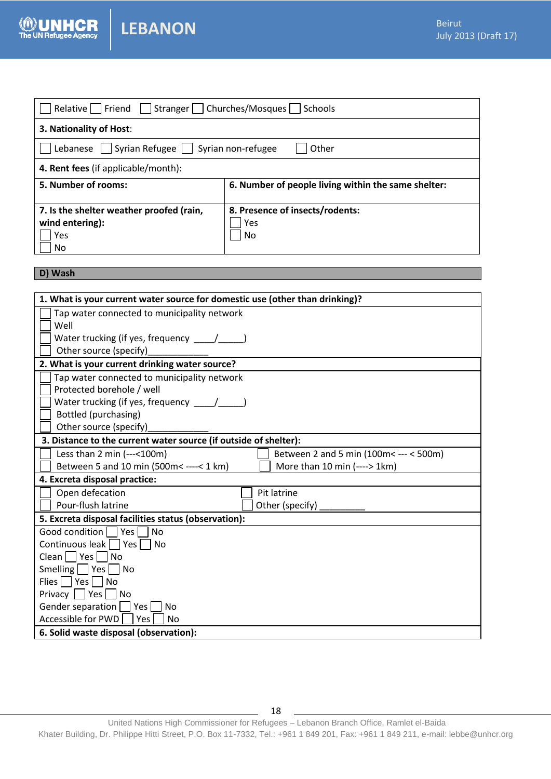| Relative     Friend     Stranger     Churches/Mosques     Schools |                                                     |
|-------------------------------------------------------------------|-----------------------------------------------------|
| 3. Nationality of Host:                                           |                                                     |
| Lebanese   Syrian Refugee   Syrian non-refugee                    | Other                                               |
| 4. Rent fees (if applicable/month):                               |                                                     |
| 5. Number of rooms:                                               | 6. Number of people living within the same shelter: |
| 7. Is the shelter weather proofed (rain,<br>wind entering):       | 8. Presence of insects/rodents:<br>Yes              |

#### **D) Wash**

**NHCR** 

Ш

| 1. What is your current water source for domestic use (other than drinking)?           |
|----------------------------------------------------------------------------------------|
| Tap water connected to municipality network                                            |
| Well                                                                                   |
| Water trucking (if yes, frequency ____/____                                            |
| Other source (specify)                                                                 |
| 2. What is your current drinking water source?                                         |
| Tap water connected to municipality network                                            |
| Protected borehole / well                                                              |
| Water trucking (if yes, frequency ____/_____                                           |
| Bottled (purchasing)                                                                   |
| Other source (specify)                                                                 |
| 3. Distance to the current water source (if outside of shelter):                       |
| Less than $2 \text{ min } (-,-100 \text{m})$<br>Between 2 and 5 min (100m< --- < 500m) |
| More than 10 min (----> 1km)<br>Between 5 and 10 min (500m< ----< 1 km)                |
| 4. Excreta disposal practice:                                                          |
| Open defecation<br>Pit latrine                                                         |
| Pour-flush latrine<br>Other (specify)                                                  |
| 5. Excreta disposal facilities status (observation):                                   |
| Good condition<br>$^{-}$   Yes  <br><b>No</b>                                          |
| Continuous leak Yes<br>- I No                                                          |
| $Clean \nvert \nvert Yes \nvert \nvert No$                                             |
| Smelling   $ Yes $   No                                                                |
| Flies     Yes     No                                                                   |
| Privacy     Yes     No                                                                 |
| Gender separation   Yes  <br>No                                                        |
| Accessible for PWD<br>Yes<br><b>No</b>                                                 |
| 6. Solid waste disposal (observation):                                                 |

United Nations High Commissioner for Refugees – Lebanon Branch Office, Ramlet el-Baida Khater Building, Dr. Philippe Hitti Street, P.O. Box 11-7332, Tel.: +961 1 849 201, Fax: +961 1 849 211, e-mail: lebbe@unhcr.org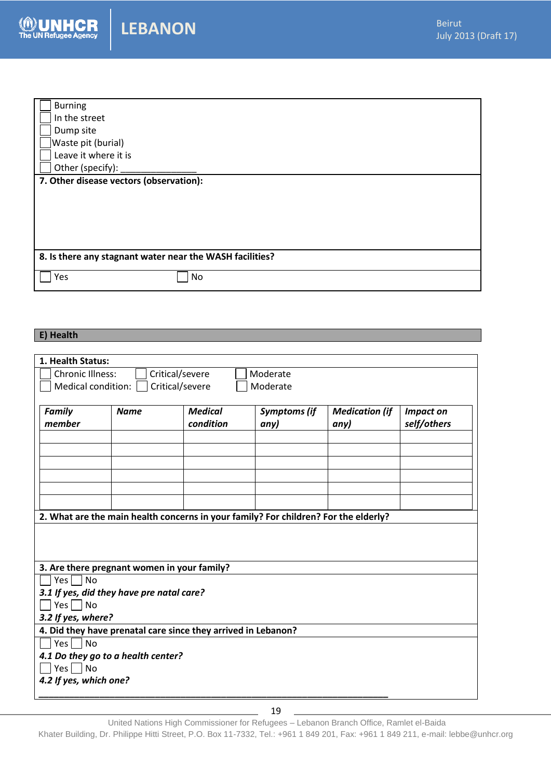

| <b>LEBANON</b> |
|----------------|
|----------------|

| <b>Burning</b>                                           |
|----------------------------------------------------------|
| In the street                                            |
| Dump site                                                |
| Waste pit (burial)                                       |
| Leave it where it is                                     |
| Other (specify):                                         |
| 7. Other disease vectors (observation):                  |
|                                                          |
|                                                          |
|                                                          |
|                                                          |
|                                                          |
| 8. Is there any stagnant water near the WASH facilities? |
| Yes<br>No                                                |

#### **E) Health**

Ш

| 1. Health Status:                                             |             |                             |                                                                                     |                               |                                 |  |
|---------------------------------------------------------------|-------------|-----------------------------|-------------------------------------------------------------------------------------|-------------------------------|---------------------------------|--|
| <b>Chronic Illness:</b>                                       |             | Critical/severe             | Moderate                                                                            |                               |                                 |  |
| Medical condition:                                            |             | Critical/severe             | Moderate                                                                            |                               |                                 |  |
|                                                               |             |                             |                                                                                     |                               |                                 |  |
| <b>Family</b><br>member                                       | <b>Name</b> | <b>Medical</b><br>condition | <b>Symptoms (if</b><br>any)                                                         | <b>Medication (if</b><br>any) | <b>Impact on</b><br>self/others |  |
|                                                               |             |                             |                                                                                     |                               |                                 |  |
|                                                               |             |                             |                                                                                     |                               |                                 |  |
|                                                               |             |                             |                                                                                     |                               |                                 |  |
|                                                               |             |                             |                                                                                     |                               |                                 |  |
|                                                               |             |                             | 2. What are the main health concerns in your family? For children? For the elderly? |                               |                                 |  |
|                                                               |             |                             |                                                                                     |                               |                                 |  |
| 3. Are there pregnant women in your family?                   |             |                             |                                                                                     |                               |                                 |  |
| $Yes \mid No$                                                 |             |                             |                                                                                     |                               |                                 |  |
| 3.1 If yes, did they have pre natal care?                     |             |                             |                                                                                     |                               |                                 |  |
| $Yes$ No                                                      |             |                             |                                                                                     |                               |                                 |  |
| 3.2 If yes, where?                                            |             |                             |                                                                                     |                               |                                 |  |
| 4. Did they have prenatal care since they arrived in Lebanon? |             |                             |                                                                                     |                               |                                 |  |
| $Yes \mid No$                                                 |             |                             |                                                                                     |                               |                                 |  |
| 4.1 Do they go to a health center?                            |             |                             |                                                                                     |                               |                                 |  |
| $Yes \nightharpoonup No$                                      |             |                             |                                                                                     |                               |                                 |  |
| 4.2 If yes, which one?                                        |             |                             |                                                                                     |                               |                                 |  |
|                                                               |             |                             |                                                                                     |                               |                                 |  |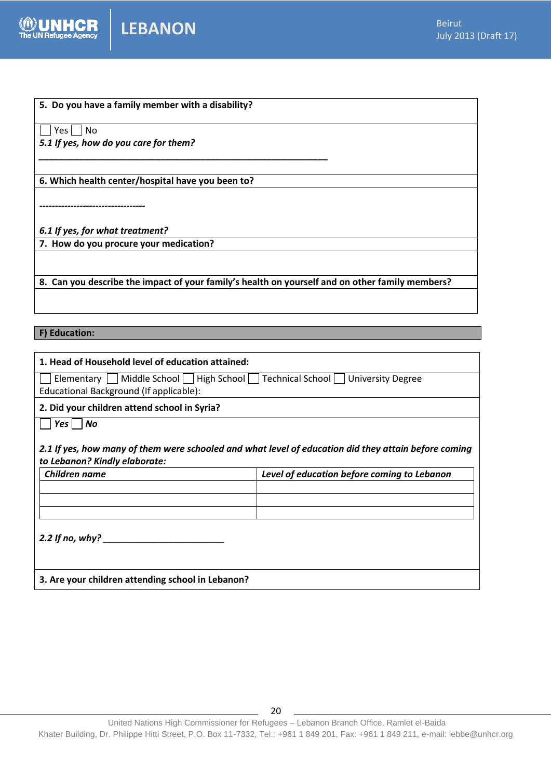

| 5. Do you have a family member with a disability?                                               |
|-------------------------------------------------------------------------------------------------|
| Yes l<br>No.                                                                                    |
| 5.1 If yes, how do you care for them?                                                           |
|                                                                                                 |
| 6. Which health center/hospital have you been to?                                               |
|                                                                                                 |
|                                                                                                 |
| 6.1 If yes, for what treatment?                                                                 |
| 7. How do you procure your medication?                                                          |
|                                                                                                 |
| 8. Can you describe the impact of your family's health on yourself and on other family members? |

**F) Education:**

| 1. Head of Household level of education attained:                                                                                                    |                                             |  |  |  |
|------------------------------------------------------------------------------------------------------------------------------------------------------|---------------------------------------------|--|--|--|
| Elementary     Middle School     High School     Technical School     University Degree<br>Educational Background (If applicable):                   |                                             |  |  |  |
| 2. Did your children attend school in Syria?                                                                                                         |                                             |  |  |  |
| Yes  <br>No<br>2.1 If yes, how many of them were schooled and what level of education did they attain before coming<br>to Lebanon? Kindly elaborate: |                                             |  |  |  |
| Children name                                                                                                                                        | Level of education before coming to Lebanon |  |  |  |
|                                                                                                                                                      |                                             |  |  |  |
| 2.2 If no, why? $\qquad \qquad$                                                                                                                      |                                             |  |  |  |
| 3. Are your children attending school in Lebanon?                                                                                                    |                                             |  |  |  |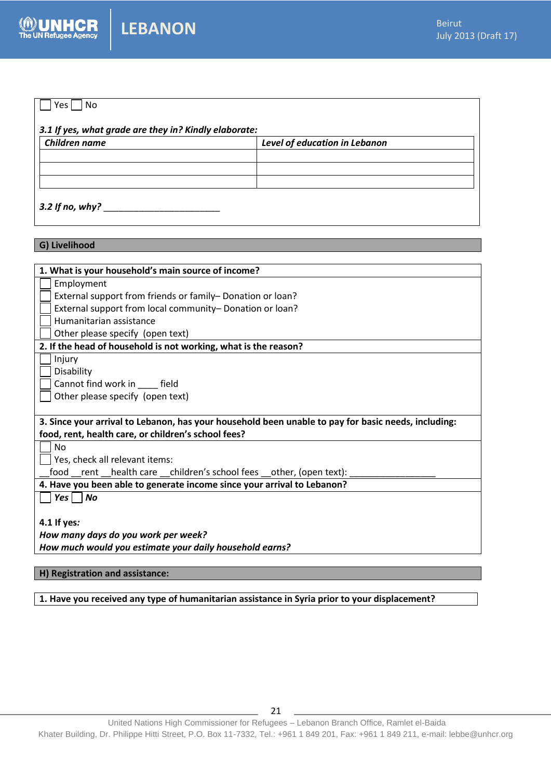# $\bigcap$  Yes  $\bigcap$  No *3.1 If yes, what grade are they in? Kindly elaborate: Children name Level of education in Lebanon* 3.2 If no, why?

**G) Livelihood**

| 1. What is your household's main source of income?                                                  |
|-----------------------------------------------------------------------------------------------------|
| Employment                                                                                          |
| External support from friends or family-Donation or loan?                                           |
| External support from local community- Donation or loan?                                            |
| Humanitarian assistance                                                                             |
| Other please specify (open text)                                                                    |
| 2. If the head of household is not working, what is the reason?                                     |
| Injury                                                                                              |
| Disability                                                                                          |
| Cannot find work in field                                                                           |
| Other please specify (open text)                                                                    |
|                                                                                                     |
| 3. Since your arrival to Lebanon, has your household been unable to pay for basic needs, including: |
| food, rent, health care, or children's school fees?                                                 |
| <b>No</b>                                                                                           |
| Yes, check all relevant items:                                                                      |
| food __rent __health care __children's school fees __other, (open text):                            |
| 4. Have you been able to generate income since your arrival to Lebanon?                             |
| $Yes \mid No$                                                                                       |
|                                                                                                     |
| 4.1 If yes:                                                                                         |
| How many days do you work per week?                                                                 |
| How much would you estimate your daily household earns?                                             |
|                                                                                                     |
| H) Registration and assistance:                                                                     |

**1. Have you received any type of humanitarian assistance in Syria prior to your displacement?**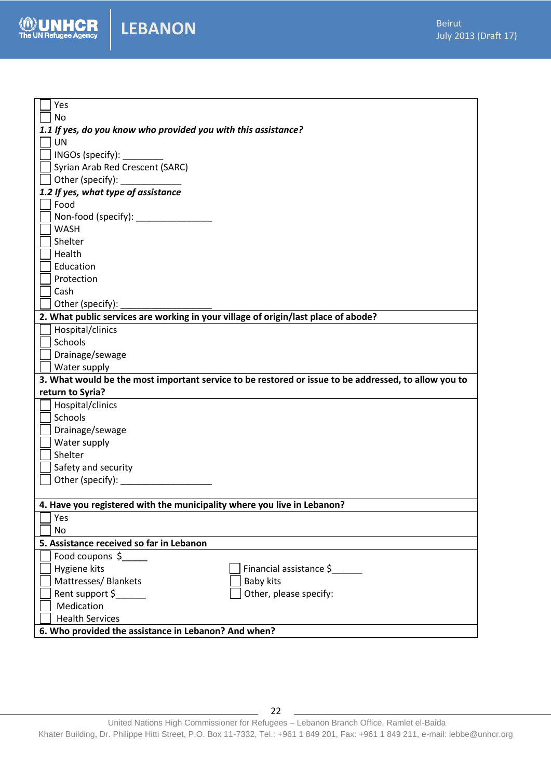

| Yes                                                                                                                                                                                                                            |
|--------------------------------------------------------------------------------------------------------------------------------------------------------------------------------------------------------------------------------|
| No                                                                                                                                                                                                                             |
| 1.1 If yes, do you know who provided you with this assistance?                                                                                                                                                                 |
| UN                                                                                                                                                                                                                             |
| INGOs (specify): _________                                                                                                                                                                                                     |
| Syrian Arab Red Crescent (SARC)                                                                                                                                                                                                |
| Other (specify): National Contract of the Contract of the Contract of the Contract of the Contract of the Contract of the Contract of the Contract of the Contract of the Contract of the Contract of the Contract of the Cont |
| 1.2 If yes, what type of assistance                                                                                                                                                                                            |
| Food                                                                                                                                                                                                                           |
| Non-food (specify): _____________                                                                                                                                                                                              |
| <b>WASH</b>                                                                                                                                                                                                                    |
| Shelter                                                                                                                                                                                                                        |
| Health                                                                                                                                                                                                                         |
| Education                                                                                                                                                                                                                      |
| Protection                                                                                                                                                                                                                     |
| Cash                                                                                                                                                                                                                           |
| Other (specify):                                                                                                                                                                                                               |
| 2. What public services are working in your village of origin/last place of abode?                                                                                                                                             |
| Hospital/clinics                                                                                                                                                                                                               |
| Schools                                                                                                                                                                                                                        |
| Drainage/sewage                                                                                                                                                                                                                |
| Water supply                                                                                                                                                                                                                   |
| 3. What would be the most important service to be restored or issue to be addressed, to allow you to                                                                                                                           |
| return to Syria?                                                                                                                                                                                                               |
| Hospital/clinics                                                                                                                                                                                                               |
| Schools                                                                                                                                                                                                                        |
| Drainage/sewage                                                                                                                                                                                                                |
| Water supply                                                                                                                                                                                                                   |
| Shelter                                                                                                                                                                                                                        |
| Safety and security                                                                                                                                                                                                            |
| Other (specify):                                                                                                                                                                                                               |
|                                                                                                                                                                                                                                |
| 4. Have you registered with the municipality where you live in Lebanon?                                                                                                                                                        |
| Yes                                                                                                                                                                                                                            |
| No                                                                                                                                                                                                                             |
| 5. Assistance received so far in Lebanon                                                                                                                                                                                       |
| Food coupons \$                                                                                                                                                                                                                |
| Hygiene kits<br>Financial assistance \$                                                                                                                                                                                        |
| Mattresses/ Blankets<br><b>Baby kits</b>                                                                                                                                                                                       |
| Rent support \$<br>Other, please specify:                                                                                                                                                                                      |
| Medication                                                                                                                                                                                                                     |
| <b>Health Services</b>                                                                                                                                                                                                         |
| 6. Who provided the assistance in Lebanon? And when?                                                                                                                                                                           |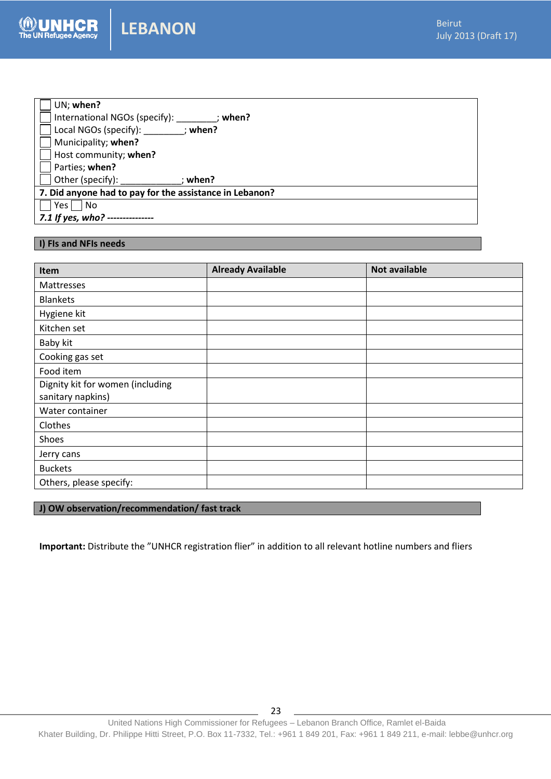| UN; when?                                               |         |  |
|---------------------------------------------------------|---------|--|
| International NGOs (specify):                           | : when? |  |
| Local NGOs (specify): ; when?                           |         |  |
| Municipality; when?                                     |         |  |
| Host community; when?                                   |         |  |
| Parties; when?                                          |         |  |
| Other (specify):                                        | ; when? |  |
| 7. Did anyone had to pay for the assistance in Lebanon? |         |  |
| No<br>Yes l                                             |         |  |
| 7.1 If yes, who? ---------------                        |         |  |

#### **I) FIs and NFIs needs**

| Item                             | <b>Already Available</b> | <b>Not available</b> |
|----------------------------------|--------------------------|----------------------|
| Mattresses                       |                          |                      |
| <b>Blankets</b>                  |                          |                      |
| Hygiene kit                      |                          |                      |
| Kitchen set                      |                          |                      |
| Baby kit                         |                          |                      |
| Cooking gas set                  |                          |                      |
| Food item                        |                          |                      |
| Dignity kit for women (including |                          |                      |
| sanitary napkins)                |                          |                      |
| Water container                  |                          |                      |
| Clothes                          |                          |                      |
| Shoes                            |                          |                      |
| Jerry cans                       |                          |                      |
| <b>Buckets</b>                   |                          |                      |
| Others, please specify:          |                          |                      |

#### **J) OW observation/recommendation/ fast track**

**Important:** Distribute the "UNHCR registration flier" in addition to all relevant hotline numbers and fliers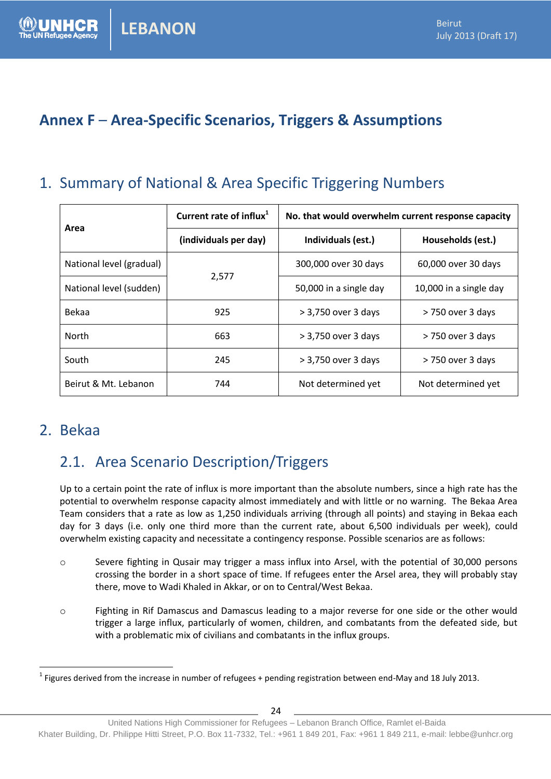# **Annex F** – **Area-Specific Scenarios, Triggers & Assumptions**

# 1. Summary of National & Area Specific Triggering Numbers

| Area                        | Current rate of influx <sup>1</sup> | No. that would overwhelm current response capacity |                        |  |
|-----------------------------|-------------------------------------|----------------------------------------------------|------------------------|--|
|                             | (individuals per day)               | Individuals (est.)                                 | Households (est.)      |  |
| National level (gradual)    |                                     | 300,000 over 30 days                               | 60,000 over 30 days    |  |
| National level (sudden)     | 2,577                               | 50,000 in a single day                             | 10,000 in a single day |  |
| Bekaa                       | 925                                 | > 3,750 over 3 days                                | > 750 over 3 days      |  |
| North                       | 663                                 | > 3,750 over 3 days                                | > 750 over 3 days      |  |
| South                       | 245                                 | > 3,750 over 3 days                                | > 750 over 3 days      |  |
| Beirut & Mt. Lebanon<br>744 |                                     | Not determined yet                                 | Not determined yet     |  |

### 2. Bekaa

 $\overline{a}$ 

# 2.1. Area Scenario Description/Triggers

Up to a certain point the rate of influx is more important than the absolute numbers, since a high rate has the potential to overwhelm response capacity almost immediately and with little or no warning. The Bekaa Area Team considers that a rate as low as 1,250 individuals arriving (through all points) and staying in Bekaa each day for 3 days (i.e. only one third more than the current rate, about 6,500 individuals per week), could overwhelm existing capacity and necessitate a contingency response. Possible scenarios are as follows:

- o Severe fighting in Qusair may trigger a mass influx into Arsel, with the potential of 30,000 persons crossing the border in a short space of time. If refugees enter the Arsel area, they will probably stay there, move to Wadi Khaled in Akkar, or on to Central/West Bekaa.
- o Fighting in Rif Damascus and Damascus leading to a major reverse for one side or the other would trigger a large influx, particularly of women, children, and combatants from the defeated side, but with a problematic mix of civilians and combatants in the influx groups.

<sup>&</sup>lt;sup>1</sup> Figures derived from the increase in number of refugees + pending registration between end-May and 18 July 2013.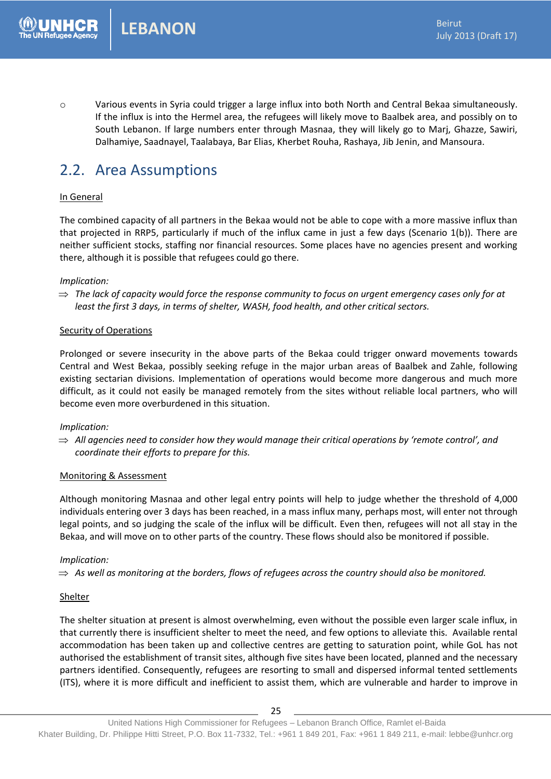o Various events in Syria could trigger a large influx into both North and Central Bekaa simultaneously. If the influx is into the Hermel area, the refugees will likely move to Baalbek area, and possibly on to South Lebanon. If large numbers enter through Masnaa, they will likely go to Marj, Ghazze, Sawiri, Dalhamiye, Saadnayel, Taalabaya, Bar Elias, Kherbet Rouha, Rashaya, Jib Jenin, and Mansoura.

### 2.2. Area Assumptions

#### In General

The combined capacity of all partners in the Bekaa would not be able to cope with a more massive influx than that projected in RRP5, particularly if much of the influx came in just a few days (Scenario 1(b)). There are neither sufficient stocks, staffing nor financial resources. Some places have no agencies present and working there, although it is possible that refugees could go there.

#### *Implication:*

 *The lack of capacity would force the response community to focus on urgent emergency cases only for at least the first 3 days, in terms of shelter, WASH, food health, and other critical sectors.*

#### Security of Operations

Prolonged or severe insecurity in the above parts of the Bekaa could trigger onward movements towards Central and West Bekaa, possibly seeking refuge in the major urban areas of Baalbek and Zahle, following existing sectarian divisions. Implementation of operations would become more dangerous and much more difficult, as it could not easily be managed remotely from the sites without reliable local partners, who will become even more overburdened in this situation.

#### *Implication:*

 $\Rightarrow$  All agencies need to consider how they would manage their critical operations by 'remote control', and *coordinate their efforts to prepare for this.*

#### Monitoring & Assessment

Although monitoring Masnaa and other legal entry points will help to judge whether the threshold of 4,000 individuals entering over 3 days has been reached, in a mass influx many, perhaps most, will enter not through legal points, and so judging the scale of the influx will be difficult. Even then, refugees will not all stay in the Bekaa, and will move on to other parts of the country. These flows should also be monitored if possible.

#### *Implication:*

 $\Rightarrow$  As well as monitoring at the borders, flows of refugees across the country should also be monitored.

#### Shelter

The shelter situation at present is almost overwhelming, even without the possible even larger scale influx, in that currently there is insufficient shelter to meet the need, and few options to alleviate this. Available rental accommodation has been taken up and collective centres are getting to saturation point, while GoL has not authorised the establishment of transit sites, although five sites have been located, planned and the necessary partners identified. Consequently, refugees are resorting to small and dispersed informal tented settlements (ITS), where it is more difficult and inefficient to assist them, which are vulnerable and harder to improve in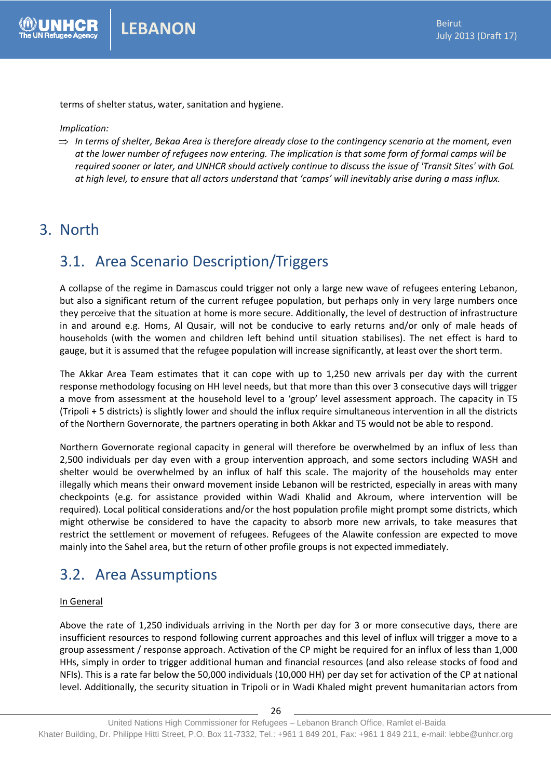terms of shelter status, water, sanitation and hygiene.

*Implication:*

 $\Rightarrow$  In terms of shelter, Bekaa Area is therefore already close to the contingency scenario at the moment, even *at the lower number of refugees now entering. The implication is that some form of formal camps will be required sooner or later, and UNHCR should actively continue to discuss the issue of 'Transit Sites' with GoL at high level, to ensure that all actors understand that 'camps' will inevitably arise during a mass influx.*

### 3. North

# 3.1. Area Scenario Description/Triggers

A collapse of the regime in Damascus could trigger not only a large new wave of refugees entering Lebanon, but also a significant return of the current refugee population, but perhaps only in very large numbers once they perceive that the situation at home is more secure. Additionally, the level of destruction of infrastructure in and around e.g. Homs, Al Qusair, will not be conducive to early returns and/or only of male heads of households (with the women and children left behind until situation stabilises). The net effect is hard to gauge, but it is assumed that the refugee population will increase significantly, at least over the short term.

The Akkar Area Team estimates that it can cope with up to 1,250 new arrivals per day with the current response methodology focusing on HH level needs, but that more than this over 3 consecutive days will trigger a move from assessment at the household level to a 'group' level assessment approach. The capacity in T5 (Tripoli + 5 districts) is slightly lower and should the influx require simultaneous intervention in all the districts of the Northern Governorate, the partners operating in both Akkar and T5 would not be able to respond.

Northern Governorate regional capacity in general will therefore be overwhelmed by an influx of less than 2,500 individuals per day even with a group intervention approach, and some sectors including WASH and shelter would be overwhelmed by an influx of half this scale. The majority of the households may enter illegally which means their onward movement inside Lebanon will be restricted, especially in areas with many checkpoints (e.g. for assistance provided within Wadi Khalid and Akroum, where intervention will be required). Local political considerations and/or the host population profile might prompt some districts, which might otherwise be considered to have the capacity to absorb more new arrivals, to take measures that restrict the settlement or movement of refugees. Refugees of the Alawite confession are expected to move mainly into the Sahel area, but the return of other profile groups is not expected immediately.

# 3.2. Area Assumptions

#### In General

Above the rate of 1,250 individuals arriving in the North per day for 3 or more consecutive days, there are insufficient resources to respond following current approaches and this level of influx will trigger a move to a group assessment / response approach. Activation of the CP might be required for an influx of less than 1,000 HHs, simply in order to trigger additional human and financial resources (and also release stocks of food and NFIs). This is a rate far below the 50,000 individuals (10,000 HH) per day set for activation of the CP at national level. Additionally, the security situation in Tripoli or in Wadi Khaled might prevent humanitarian actors from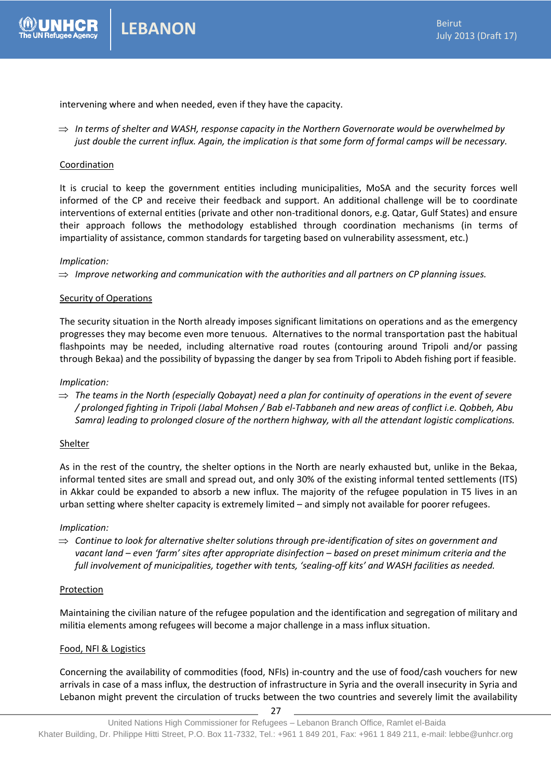

intervening where and when needed, even if they have the capacity.

 *In terms of shelter and WASH, response capacity in the Northern Governorate would be overwhelmed by just double the current influx. Again, the implication is that some form of formal camps will be necessary.*

#### Coordination

It is crucial to keep the government entities including municipalities, MoSA and the security forces well informed of the CP and receive their feedback and support. An additional challenge will be to coordinate interventions of external entities (private and other non-traditional donors, e.g. Qatar, Gulf States) and ensure their approach follows the methodology established through coordination mechanisms (in terms of impartiality of assistance, common standards for targeting based on vulnerability assessment, etc.)

#### *Implication:*

*Improve networking and communication with the authorities and all partners on CP planning issues.*

#### Security of Operations

The security situation in the North already imposes significant limitations on operations and as the emergency progresses they may become even more tenuous. Alternatives to the normal transportation past the habitual flashpoints may be needed, including alternative road routes (contouring around Tripoli and/or passing through Bekaa) and the possibility of bypassing the danger by sea from Tripoli to Abdeh fishing port if feasible.

#### *Implication:*

 $\Rightarrow$  The teams in the North (especially Qobayat) need a plan for continuity of operations in the event of severe */ prolonged fighting in Tripoli (Jabal Mohsen / Bab el-Tabbaneh and new areas of conflict i.e. Qobbeh, Abu Samra) leading to prolonged closure of the northern highway, with all the attendant logistic complications.*

#### Shelter

As in the rest of the country, the shelter options in the North are nearly exhausted but, unlike in the Bekaa, informal tented sites are small and spread out, and only 30% of the existing informal tented settlements (ITS) in Akkar could be expanded to absorb a new influx. The majority of the refugee population in T5 lives in an urban setting where shelter capacity is extremely limited – and simply not available for poorer refugees.

#### *Implication:*

 $\Rightarrow$  Continue to look for alternative shelter solutions through pre-identification of sites on government and *vacant land – even 'farm' sites after appropriate disinfection – based on preset minimum criteria and the full involvement of municipalities, together with tents, 'sealing-off kits' and WASH facilities as needed.*

#### Protection

Maintaining the civilian nature of the refugee population and the identification and segregation of military and militia elements among refugees will become a major challenge in a mass influx situation.

#### Food, NFI & Logistics

Concerning the availability of commodities (food, NFIs) in-country and the use of food/cash vouchers for new arrivals in case of a mass influx, the destruction of infrastructure in Syria and the overall insecurity in Syria and Lebanon might prevent the circulation of trucks between the two countries and severely limit the availability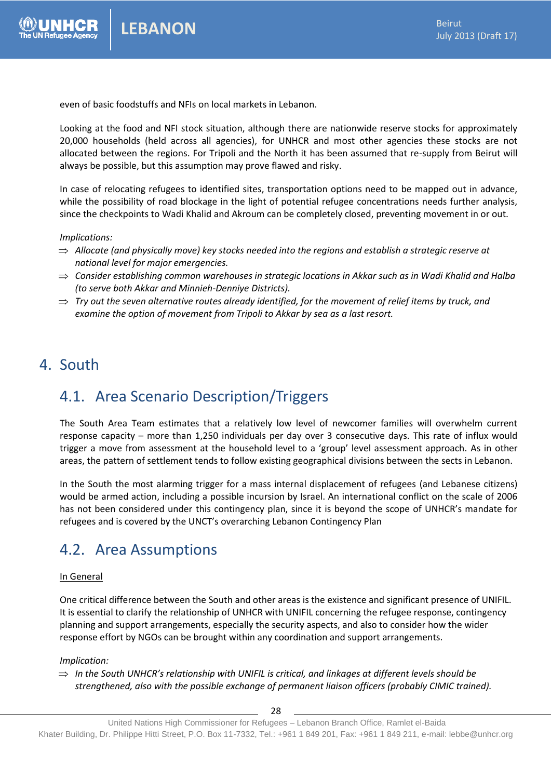even of basic foodstuffs and NFIs on local markets in Lebanon.

Looking at the food and NFI stock situation, although there are nationwide reserve stocks for approximately 20,000 households (held across all agencies), for UNHCR and most other agencies these stocks are not allocated between the regions. For Tripoli and the North it has been assumed that re-supply from Beirut will always be possible, but this assumption may prove flawed and risky.

In case of relocating refugees to identified sites, transportation options need to be mapped out in advance, while the possibility of road blockage in the light of potential refugee concentrations needs further analysis, since the checkpoints to Wadi Khalid and Akroum can be completely closed, preventing movement in or out.

#### *Implications:*

- *Allocate (and physically move) key stocks needed into the regions and establish a strategic reserve at national level for major emergencies.*
- *Consider establishing common warehouses in strategic locations in Akkar such as in Wadi Khalid and Halba (to serve both Akkar and Minnieh-Denniye Districts).*
- $\Rightarrow$  Try out the seven alternative routes already identified, for the movement of relief items by truck, and *examine the option of movement from Tripoli to Akkar by sea as a last resort.*

### 4. South

# 4.1. Area Scenario Description/Triggers

The South Area Team estimates that a relatively low level of newcomer families will overwhelm current response capacity – more than 1,250 individuals per day over 3 consecutive days. This rate of influx would trigger a move from assessment at the household level to a 'group' level assessment approach. As in other areas, the pattern of settlement tends to follow existing geographical divisions between the sects in Lebanon.

In the South the most alarming trigger for a mass internal displacement of refugees (and Lebanese citizens) would be armed action, including a possible incursion by Israel. An international conflict on the scale of 2006 has not been considered under this contingency plan, since it is beyond the scope of UNHCR's mandate for refugees and is covered by the UNCT's overarching Lebanon Contingency Plan

### 4.2. Area Assumptions

#### In General

One critical difference between the South and other areas is the existence and significant presence of UNIFIL. It is essential to clarify the relationship of UNHCR with UNIFIL concerning the refugee response, contingency planning and support arrangements, especially the security aspects, and also to consider how the wider response effort by NGOs can be brought within any coordination and support arrangements.

#### *Implication:*

 $\Rightarrow$  In the South UNHCR's relationship with UNIFIL is critical, and linkages at different levels should be *strengthened, also with the possible exchange of permanent liaison officers (probably CIMIC trained).*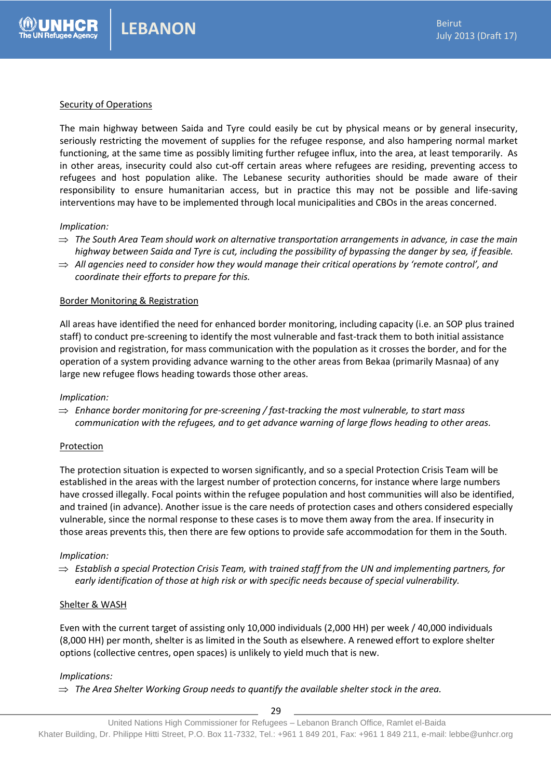#### Security of Operations

The main highway between Saida and Tyre could easily be cut by physical means or by general insecurity, seriously restricting the movement of supplies for the refugee response, and also hampering normal market functioning, at the same time as possibly limiting further refugee influx, into the area, at least temporarily. As in other areas, insecurity could also cut-off certain areas where refugees are residing, preventing access to refugees and host population alike. The Lebanese security authorities should be made aware of their responsibility to ensure humanitarian access, but in practice this may not be possible and life-saving interventions may have to be implemented through local municipalities and CBOs in the areas concerned.

#### *Implication:*

- $\Rightarrow$  The South Area Team should work on alternative transportation arrangements in advance, in case the main *highway between Saida and Tyre is cut, including the possibility of bypassing the danger by sea, if feasible.*
- $\Rightarrow$  All agencies need to consider how they would manage their critical operations by 'remote control', and *coordinate their efforts to prepare for this.*

#### Border Monitoring & Registration

All areas have identified the need for enhanced border monitoring, including capacity (i.e. an SOP plus trained staff) to conduct pre-screening to identify the most vulnerable and fast-track them to both initial assistance provision and registration, for mass communication with the population as it crosses the border, and for the operation of a system providing advance warning to the other areas from Bekaa (primarily Masnaa) of any large new refugee flows heading towards those other areas.

#### *Implication:*

 *Enhance border monitoring for pre-screening / fast-tracking the most vulnerable, to start mass communication with the refugees, and to get advance warning of large flows heading to other areas.*

#### Protection

The protection situation is expected to worsen significantly, and so a special Protection Crisis Team will be established in the areas with the largest number of protection concerns, for instance where large numbers have crossed illegally. Focal points within the refugee population and host communities will also be identified, and trained (in advance). Another issue is the care needs of protection cases and others considered especially vulnerable, since the normal response to these cases is to move them away from the area. If insecurity in those areas prevents this, then there are few options to provide safe accommodation for them in the South.

#### *Implication:*

 $\Rightarrow$  Establish a special Protection Crisis Team, with trained staff from the UN and implementing partners, for *early identification of those at high risk or with specific needs because of special vulnerability.*

#### Shelter & WASH

Even with the current target of assisting only 10,000 individuals (2,000 HH) per week / 40,000 individuals (8,000 HH) per month, shelter is as limited in the South as elsewhere. A renewed effort to explore shelter options (collective centres, open spaces) is unlikely to yield much that is new.

#### *Implications:*

*The Area Shelter Working Group needs to quantify the available shelter stock in the area.*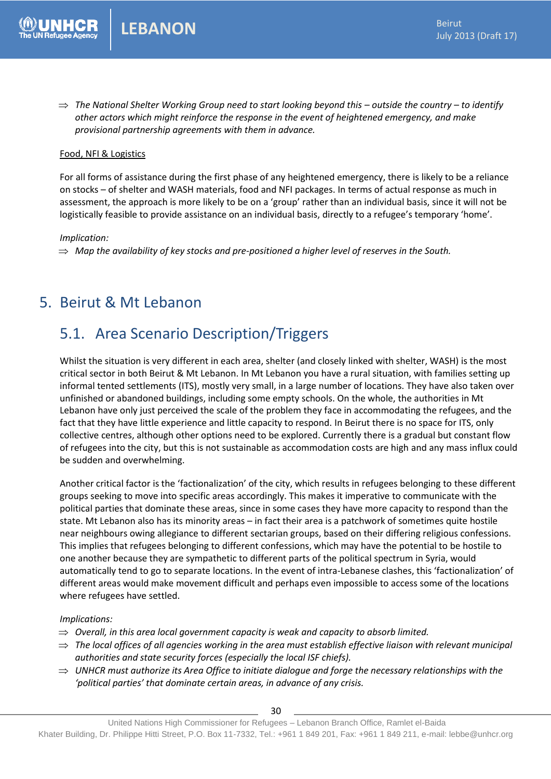$\Rightarrow$  The National Shelter Working Group need to start looking beyond this – outside the country – to identify *other actors which might reinforce the response in the event of heightened emergency, and make provisional partnership agreements with them in advance.*

#### Food, NFI & Logistics

For all forms of assistance during the first phase of any heightened emergency, there is likely to be a reliance on stocks – of shelter and WASH materials, food and NFI packages. In terms of actual response as much in assessment, the approach is more likely to be on a 'group' rather than an individual basis, since it will not be logistically feasible to provide assistance on an individual basis, directly to a refugee's temporary 'home'.

*Implication:*

 $\Rightarrow$  Map the availability of key stocks and pre-positioned a higher level of reserves in the South.

### 5. Beirut & Mt Lebanon

# 5.1. Area Scenario Description/Triggers

Whilst the situation is very different in each area, shelter (and closely linked with shelter, WASH) is the most critical sector in both Beirut & Mt Lebanon. In Mt Lebanon you have a rural situation, with families setting up informal tented settlements (ITS), mostly very small, in a large number of locations. They have also taken over unfinished or abandoned buildings, including some empty schools. On the whole, the authorities in Mt Lebanon have only just perceived the scale of the problem they face in accommodating the refugees, and the fact that they have little experience and little capacity to respond. In Beirut there is no space for ITS, only collective centres, although other options need to be explored. Currently there is a gradual but constant flow of refugees into the city, but this is not sustainable as accommodation costs are high and any mass influx could be sudden and overwhelming.

Another critical factor is the 'factionalization' of the city, which results in refugees belonging to these different groups seeking to move into specific areas accordingly. This makes it imperative to communicate with the political parties that dominate these areas, since in some cases they have more capacity to respond than the state. Mt Lebanon also has its minority areas – in fact their area is a patchwork of sometimes quite hostile near neighbours owing allegiance to different sectarian groups, based on their differing religious confessions. This implies that refugees belonging to different confessions, which may have the potential to be hostile to one another because they are sympathetic to different parts of the political spectrum in Syria, would automatically tend to go to separate locations. In the event of intra-Lebanese clashes, this 'factionalization' of different areas would make movement difficult and perhaps even impossible to access some of the locations where refugees have settled.

#### *Implications:*

- *Overall, in this area local government capacity is weak and capacity to absorb limited.*
- $\Rightarrow$  The local offices of all agencies working in the area must establish effective liaison with relevant municipal *authorities and state security forces (especially the local ISF chiefs).*
- $\Rightarrow$  UNHCR must authorize its Area Office to initiate dialogue and forge the necessary relationships with the *'political parties' that dominate certain areas, in advance of any crisis.*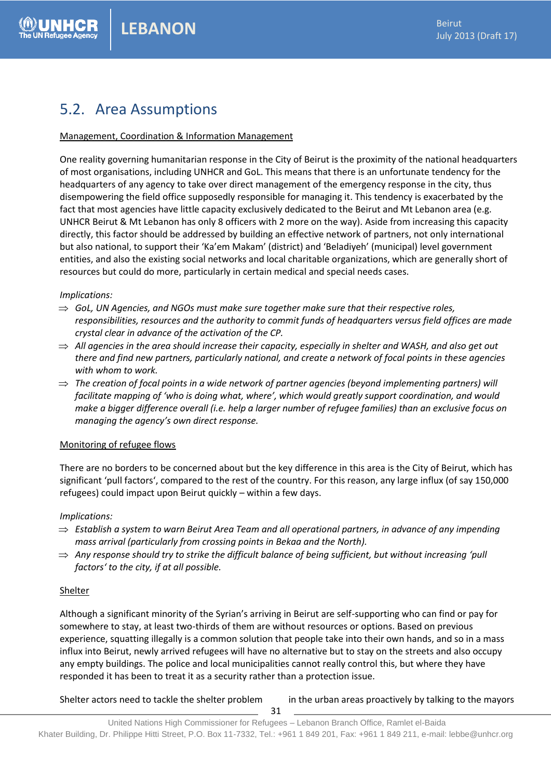# 5.2. Area Assumptions

#### Management, Coordination & Information Management

One reality governing humanitarian response in the City of Beirut is the proximity of the national headquarters of most organisations, including UNHCR and GoL. This means that there is an unfortunate tendency for the headquarters of any agency to take over direct management of the emergency response in the city, thus disempowering the field office supposedly responsible for managing it. This tendency is exacerbated by the fact that most agencies have little capacity exclusively dedicated to the Beirut and Mt Lebanon area (e.g. UNHCR Beirut & Mt Lebanon has only 8 officers with 2 more on the way). Aside from increasing this capacity directly, this factor should be addressed by building an effective network of partners, not only international but also national, to support their 'Ka'em Makam' (district) and 'Beladiyeh' (municipal) level government entities, and also the existing social networks and local charitable organizations, which are generally short of resources but could do more, particularly in certain medical and special needs cases.

#### *Implications:*

- $\Rightarrow$  GoL, UN Agencies, and NGOs must make sure together make sure that their respective roles, *responsibilities, resources and the authority to commit funds of headquarters versus field offices are made crystal clear in advance of the activation of the CP.*
- $\Rightarrow$  All agencies in the area should increase their capacity, especially in shelter and WASH, and also get out *there and find new partners, particularly national, and create a network of focal points in these agencies with whom to work.*
- $\Rightarrow$  The creation of focal points in a wide network of partner agencies (beyond implementing partners) will *facilitate mapping of 'who is doing what, where', which would greatly support coordination, and would make a bigger difference overall (i.e. help a larger number of refugee families) than an exclusive focus on managing the agency's own direct response.*

#### Monitoring of refugee flows

There are no borders to be concerned about but the key difference in this area is the City of Beirut, which has significant 'pull factors', compared to the rest of the country. For this reason, any large influx (of say 150,000 refugees) could impact upon Beirut quickly – within a few days.

#### *Implications:*

- *Establish a system to warn Beirut Area Team and all operational partners, in advance of any impending mass arrival (particularly from crossing points in Bekaa and the North).*
- $\Rightarrow$  Any response should try to strike the difficult balance of being sufficient, but without increasing 'pull *factors' to the city, if at all possible.*

#### Shelter

Although a significant minority of the Syrian's arriving in Beirut are self-supporting who can find or pay for somewhere to stay, at least two-thirds of them are without resources or options. Based on previous experience, squatting illegally is a common solution that people take into their own hands, and so in a mass influx into Beirut, newly arrived refugees will have no alternative but to stay on the streets and also occupy any empty buildings. The police and local municipalities cannot really control this, but where they have responded it has been to treat it as a security rather than a protection issue.

Shelter actors need to tackle the shelter problem in the urban areas proactively by talking to the mayors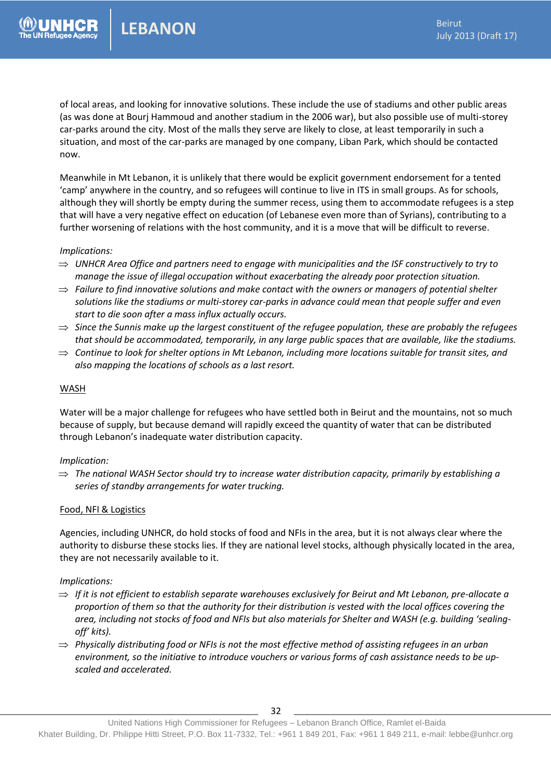of local areas, and looking for innovative solutions. These include the use of stadiums and other public areas (as was done at Bourj Hammoud and another stadium in the 2006 war), but also possible use of multi-storey car-parks around the city. Most of the malls they serve are likely to close, at least temporarily in such a situation, and most of the car-parks are managed by one company, Liban Park, which should be contacted now.

Meanwhile in Mt Lebanon, it is unlikely that there would be explicit government endorsement for a tented 'camp' anywhere in the country, and so refugees will continue to live in ITS in small groups. As for schools, although they will shortly be empty during the summer recess, using them to accommodate refugees is a step that will have a very negative effect on education (of Lebanese even more than of Syrians), contributing to a further worsening of relations with the host community, and it is a move that will be difficult to reverse.

#### *Implications:*

- $\Rightarrow$  UNHCR Area Office and partners need to engage with municipalities and the ISF constructively to try to *manage the issue of illegal occupation without exacerbating the already poor protection situation.*
- $\Rightarrow$  Failure to find innovative solutions and make contact with the owners or managers of potential shelter *solutions like the stadiums or multi-storey car-parks in advance could mean that people suffer and even start to die soon after a mass influx actually occurs.*
- *Since the Sunnis make up the largest constituent of the refugee population, these are probably the refugees that should be accommodated, temporarily, in any large public spaces that are available, like the stadiums.*
- $\Rightarrow$  Continue to look for shelter options in Mt Lebanon, including more locations suitable for transit sites, and *also mapping the locations of schools as a last resort.*

#### WASH

Water will be a major challenge for refugees who have settled both in Beirut and the mountains, not so much because of supply, but because demand will rapidly exceed the quantity of water that can be distributed through Lebanon's inadequate water distribution capacity.

#### *Implication:*

 *The national WASH Sector should try to increase water distribution capacity, primarily by establishing a series of standby arrangements for water trucking.* 

#### Food, NFI & Logistics

Agencies, including UNHCR, do hold stocks of food and NFIs in the area, but it is not always clear where the authority to disburse these stocks lies. If they are national level stocks, although physically located in the area, they are not necessarily available to it.

#### *Implications:*

- $\Rightarrow$  If it is not efficient to establish separate warehouses exclusively for Beirut and Mt Lebanon, pre-allocate a *proportion of them so that the authority for their distribution is vested with the local offices covering the area, including not stocks of food and NFIs but also materials for Shelter and WASH (e.g. building 'sealingoff' kits).*
- *Physically distributing food or NFIs is not the most effective method of assisting refugees in an urban environment, so the initiative to introduce vouchers or various forms of cash assistance needs to be upscaled and accelerated.*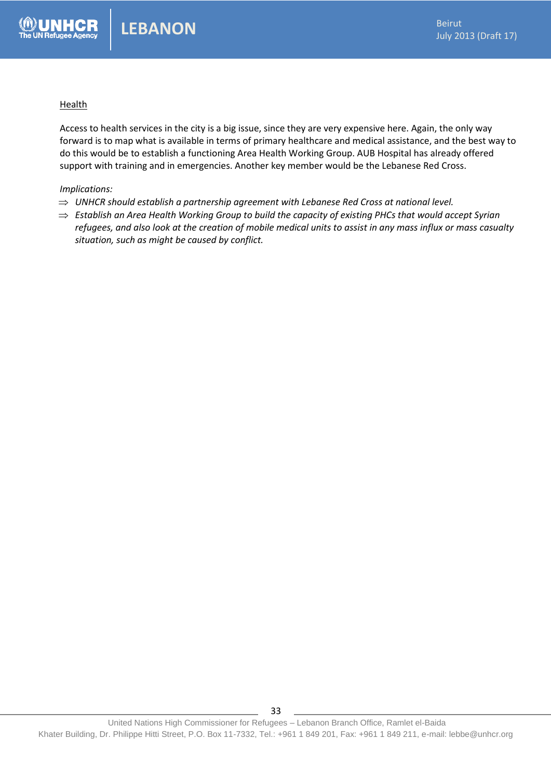#### **Health**

Access to health services in the city is a big issue, since they are very expensive here. Again, the only way forward is to map what is available in terms of primary healthcare and medical assistance, and the best way to do this would be to establish a functioning Area Health Working Group. AUB Hospital has already offered support with training and in emergencies. Another key member would be the Lebanese Red Cross.

#### *Implications:*

- $\Rightarrow$  UNHCR should establish a partnership agreement with Lebanese Red Cross at national level.
- *Establish an Area Health Working Group to build the capacity of existing PHCs that would accept Syrian refugees, and also look at the creation of mobile medical units to assist in any mass influx or mass casualty situation, such as might be caused by conflict.*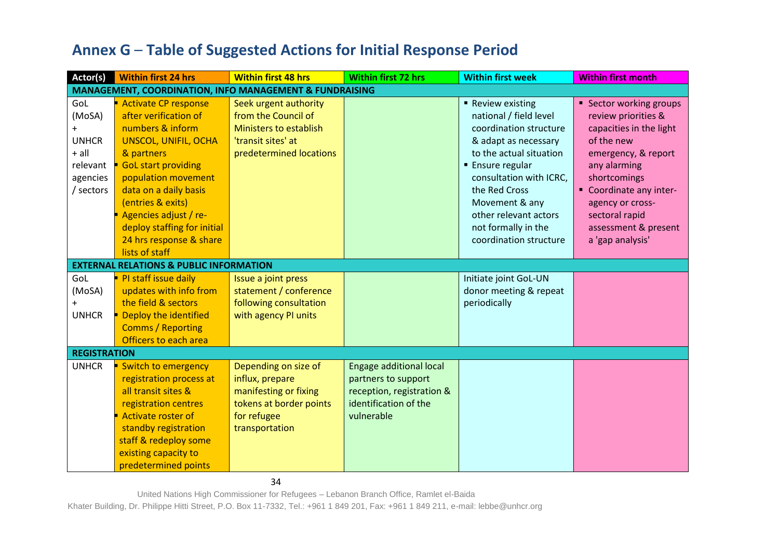# **Annex G** – **Table of Suggested Actions for Initial Response Period**

| Actor(s)            | <b>Within first 24 hrs</b>                                         | <b>Within first 48 hrs</b> | <b>Within first 72 hrs</b>     | <b>Within first week</b> | <b>Within first month</b> |  |  |
|---------------------|--------------------------------------------------------------------|----------------------------|--------------------------------|--------------------------|---------------------------|--|--|
|                     | <b>MANAGEMENT, COORDINATION, INFO MANAGEMENT &amp; FUNDRAISING</b> |                            |                                |                          |                           |  |  |
| GoL                 | <b>Activate CP response</b>                                        | Seek urgent authority      |                                | Review existing          | ■ Sector working groups   |  |  |
| (MoSA)              | after verification of                                              | from the Council of        |                                | national / field level   | review priorities &       |  |  |
| $\ddot{}$           | numbers & inform                                                   | Ministers to establish     |                                | coordination structure   | capacities in the light   |  |  |
| <b>UNHCR</b>        | <b>UNSCOL, UNIFIL, OCHA</b>                                        | 'transit sites' at         |                                | & adapt as necessary     | of the new                |  |  |
| $+$ all             | & partners                                                         | predetermined locations    |                                | to the actual situation  | emergency, & report       |  |  |
| relevant            | <b>GoL start providing</b>                                         |                            |                                | <b>Ensure regular</b>    | any alarming              |  |  |
| agencies            | population movement                                                |                            |                                | consultation with ICRC,  | shortcomings              |  |  |
| / sectors           | data on a daily basis                                              |                            |                                | the Red Cross            | " Coordinate any inter-   |  |  |
|                     | (entries & exits)                                                  |                            |                                | Movement & any           | agency or cross-          |  |  |
|                     | Agencies adjust / re-                                              |                            |                                | other relevant actors    | sectoral rapid            |  |  |
|                     | deploy staffing for initial                                        |                            |                                | not formally in the      | assessment & present      |  |  |
|                     | 24 hrs response & share                                            |                            |                                | coordination structure   | a 'gap analysis'          |  |  |
|                     | lists of staff                                                     |                            |                                |                          |                           |  |  |
|                     | <b>EXTERNAL RELATIONS &amp; PUBLIC INFORMATION</b>                 |                            |                                |                          |                           |  |  |
| GoL                 | PI staff issue daily                                               | Issue a joint press        |                                | Initiate joint GoL-UN    |                           |  |  |
| (MoSA)              | updates with info from                                             | statement / conference     |                                | donor meeting & repeat   |                           |  |  |
|                     | the field & sectors                                                | following consultation     |                                | periodically             |                           |  |  |
| <b>UNHCR</b>        | Deploy the identified                                              | with agency PI units       |                                |                          |                           |  |  |
|                     | <b>Comms / Reporting</b>                                           |                            |                                |                          |                           |  |  |
|                     | Officers to each area                                              |                            |                                |                          |                           |  |  |
| <b>REGISTRATION</b> |                                                                    |                            |                                |                          |                           |  |  |
| <b>UNHCR</b>        | Switch to emergency                                                | Depending on size of       | <b>Engage additional local</b> |                          |                           |  |  |
|                     | registration process at                                            | influx, prepare            | partners to support            |                          |                           |  |  |
|                     | all transit sites &                                                | manifesting or fixing      | reception, registration &      |                          |                           |  |  |
|                     | registration centres                                               | tokens at border points    | identification of the          |                          |                           |  |  |
|                     | <b>Activate roster of</b>                                          | for refugee                | vulnerable                     |                          |                           |  |  |
|                     | standby registration                                               | transportation             |                                |                          |                           |  |  |
|                     | staff & redeploy some                                              |                            |                                |                          |                           |  |  |
|                     | existing capacity to                                               |                            |                                |                          |                           |  |  |
|                     | predetermined points                                               |                            |                                |                          |                           |  |  |

34

United Nations High Commissioner for Refugees – Lebanon Branch Office, Ramlet el-Baida

Khater Building, Dr. Philippe Hitti Street, P.O. Box 11-7332, Tel.: +961 1 849 201, Fax: +961 1 849 211, e-mail: lebbe@unhcr.org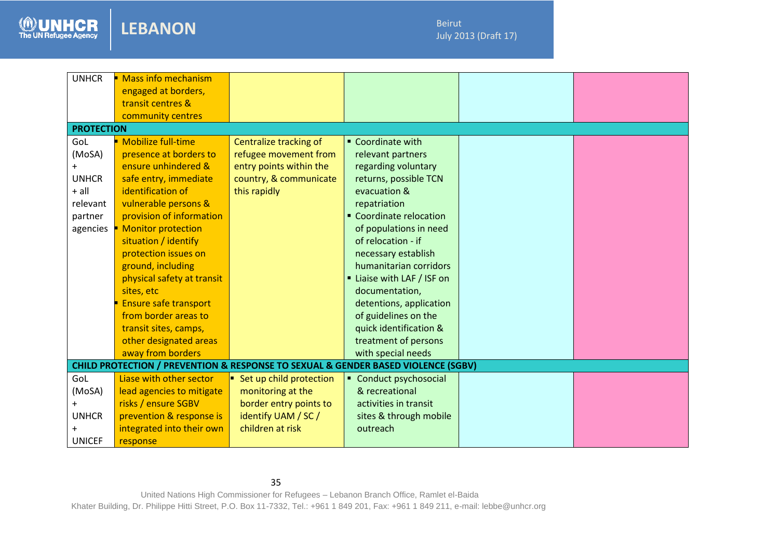**LEBANON**

The UN Refugee Agency

2013<br>2013 - Paul Barnett, amerikansk matematik<br>2013 - Paul Barnett, amerikansk matematik

| <b>UNHCR</b>      | <b>Mass info mechanism</b>                                                                       |                         |                          |  |
|-------------------|--------------------------------------------------------------------------------------------------|-------------------------|--------------------------|--|
|                   | engaged at borders,                                                                              |                         |                          |  |
|                   | transit centres &                                                                                |                         |                          |  |
|                   | community centres                                                                                |                         |                          |  |
| <b>PROTECTION</b> |                                                                                                  |                         |                          |  |
| GoL               | <b>Mobilize full-time</b>                                                                        | Centralize tracking of  | ■ Coordinate with        |  |
| (MoSA)            | presence at borders to                                                                           | refugee movement from   | relevant partners        |  |
|                   | ensure unhindered &                                                                              | entry points within the | regarding voluntary      |  |
| <b>UNHCR</b>      | safe entry, immediate                                                                            | country, & communicate  | returns, possible TCN    |  |
| + all             | identification of                                                                                | this rapidly            | evacuation &             |  |
| relevant          | vulnerable persons &                                                                             |                         | repatriation             |  |
| partner           | provision of information                                                                         |                         | • Coordinate relocation  |  |
| agencies          | <b>Monitor protection</b>                                                                        |                         | of populations in need   |  |
|                   | situation / identify                                                                             |                         | of relocation - if       |  |
|                   | protection issues on                                                                             |                         | necessary establish      |  |
|                   | ground, including                                                                                |                         | humanitarian corridors   |  |
|                   | physical safety at transit                                                                       |                         | Liaise with LAF / ISF on |  |
|                   | sites, etc                                                                                       |                         | documentation,           |  |
|                   | <b>Ensure safe transport</b>                                                                     |                         | detentions, application  |  |
|                   | from border areas to                                                                             |                         | of guidelines on the     |  |
|                   | transit sites, camps,                                                                            |                         | quick identification &   |  |
|                   | other designated areas                                                                           |                         | treatment of persons     |  |
|                   | away from borders                                                                                |                         | with special needs       |  |
|                   | <b>CHILD PROTECTION / PREVENTION &amp; RESPONSE TO SEXUAL &amp; GENDER BASED VIOLENCE (SGBV)</b> |                         |                          |  |
| GoL               | Liase with other sector                                                                          | Set up child protection | Conduct psychosocial     |  |
| (MoSA)            | lead agencies to mitigate                                                                        | monitoring at the       | & recreational           |  |
| $\ddot{}$         | risks / ensure SGBV                                                                              | border entry points to  | activities in transit    |  |
| <b>UNHCR</b>      | prevention & response is                                                                         | identify UAM / SC /     | sites & through mobile   |  |
|                   | integrated into their own                                                                        | children at risk        | outreach                 |  |
| <b>UNICEF</b>     | response                                                                                         |                         |                          |  |
|                   |                                                                                                  |                         |                          |  |

35

United Nations High Commissioner for Refugees – Lebanon Branch Office, Ramlet el-Baida Khater Building, Dr. Philippe Hitti Street, P.O. Box 11-7332, Tel.: +961 1 849 201, Fax: +961 1 849 211, e-mail: lebbe@unhcr.org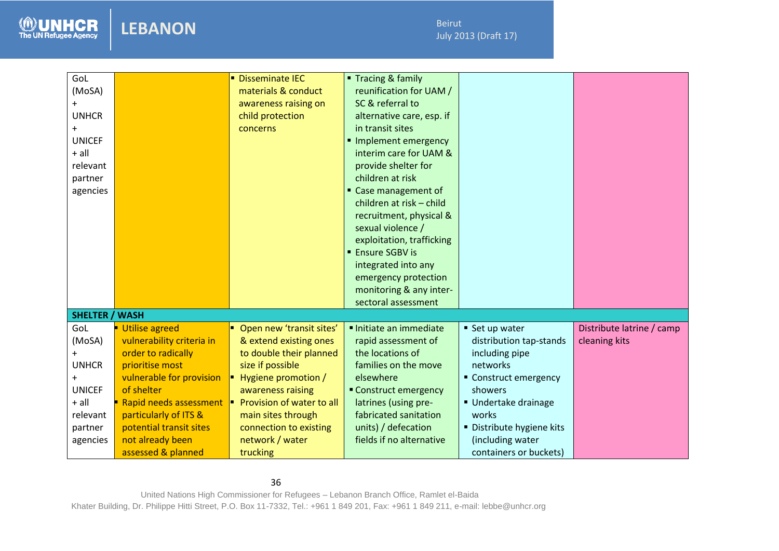Beirut July 2013 (Draft 17)

2013<br>2013 - Paul Barnett, amerikansk matematik<br>2013 - Paul Barnett, amerikansk matematik

| GoL<br>(MoSA)<br>+<br><b>UNHCR</b><br>$\ddot{}$<br><b>UNICEF</b><br>$+$ all<br>relevant<br>partner<br>agencies |                           | <b>Disseminate IEC</b><br>materials & conduct<br>awareness raising on<br>child protection<br>concerns | ■ Tracing & family<br>reunification for UAM /<br>SC & referral to<br>alternative care, esp. if<br>in transit sites<br>Implement emergency<br>interim care for UAM &<br>provide shelter for<br>children at risk<br>" Case management of<br>children at risk - child<br>recruitment, physical &<br>sexual violence /<br>exploitation, trafficking<br><b>Ensure SGBV is</b><br>integrated into any<br>emergency protection<br>monitoring & any inter-<br>sectoral assessment |                         |                           |
|----------------------------------------------------------------------------------------------------------------|---------------------------|-------------------------------------------------------------------------------------------------------|---------------------------------------------------------------------------------------------------------------------------------------------------------------------------------------------------------------------------------------------------------------------------------------------------------------------------------------------------------------------------------------------------------------------------------------------------------------------------|-------------------------|---------------------------|
| <b>SHELTER / WASH</b>                                                                                          |                           |                                                                                                       |                                                                                                                                                                                                                                                                                                                                                                                                                                                                           |                         |                           |
| GoL                                                                                                            | <b>Utilise agreed</b>     | Open new 'transit sites'                                                                              | Initiate an immediate                                                                                                                                                                                                                                                                                                                                                                                                                                                     | ■ Set up water          | Distribute latrine / camp |
| (MoSA)                                                                                                         | vulnerability criteria in | & extend existing ones                                                                                | rapid assessment of                                                                                                                                                                                                                                                                                                                                                                                                                                                       | distribution tap-stands | cleaning kits             |
| $^+$                                                                                                           | order to radically        | to double their planned                                                                               | the locations of                                                                                                                                                                                                                                                                                                                                                                                                                                                          | including pipe          |                           |
| <b>UNHCR</b>                                                                                                   | prioritise most           | size if possible                                                                                      | families on the move                                                                                                                                                                                                                                                                                                                                                                                                                                                      | networks                |                           |
|                                                                                                                | vulnerable for provision  | Hygiene promotion /                                                                                   | elsewhere                                                                                                                                                                                                                                                                                                                                                                                                                                                                 | • Construct emergency   |                           |
| <b>UNICEF</b>                                                                                                  | of shelter                | awareness raising                                                                                     | Construct emergency                                                                                                                                                                                                                                                                                                                                                                                                                                                       | showers                 |                           |
| $+$ all                                                                                                        | Rapid needs assessment    | Provision of water to all                                                                             | latrines (using pre-                                                                                                                                                                                                                                                                                                                                                                                                                                                      | Undertake drainage      |                           |
| relevant                                                                                                       | particularly of ITS &     | main sites through                                                                                    | fabricated sanitation                                                                                                                                                                                                                                                                                                                                                                                                                                                     | works                   |                           |
| partner                                                                                                        | potential transit sites   | connection to existing                                                                                | units) / defecation                                                                                                                                                                                                                                                                                                                                                                                                                                                       | Distribute hygiene kits |                           |
| agencies                                                                                                       | not already been          | network / water                                                                                       | fields if no alternative                                                                                                                                                                                                                                                                                                                                                                                                                                                  | (including water        |                           |
|                                                                                                                | assessed & planned        | trucking                                                                                              |                                                                                                                                                                                                                                                                                                                                                                                                                                                                           | containers or buckets)  |                           |

36

**LEBANON**

The UN Refugee Agency

United Nations High Commissioner for Refugees – Lebanon Branch Office, Ramlet el-Baida Khater Building, Dr. Philippe Hitti Street, P.O. Box 11-7332, Tel.: +961 1 849 201, Fax: +961 1 849 211, e-mail: lebbe@unhcr.org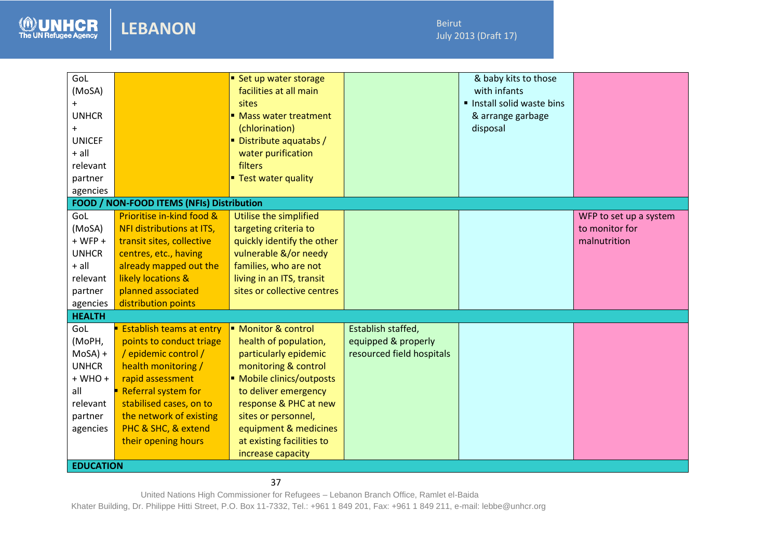**LEBANON**

The UN Refugee Agency

2013<br>2013 - Paul Barnett, amerikansk matematik<br>2013 - Paul Barnett, amerikansk matematik

| GoL<br>(MoSA)<br>$\pm$<br><b>UNHCR</b><br>$+$<br><b>UNICEF</b><br>$+$ all<br>relevant |                            | Set up water storage<br>facilities at all main<br>sites<br>■ Mass water treatment<br>(chlorination)<br>Distribute aquatabs /<br>water purification<br>filters |                           | & baby kits to those<br>with infants<br>Install solid waste bins<br>& arrange garbage<br>disposal |                        |
|---------------------------------------------------------------------------------------|----------------------------|---------------------------------------------------------------------------------------------------------------------------------------------------------------|---------------------------|---------------------------------------------------------------------------------------------------|------------------------|
| partner                                                                               |                            | <b>Test water quality</b>                                                                                                                                     |                           |                                                                                                   |                        |
| agencies                                                                              |                            |                                                                                                                                                               |                           |                                                                                                   |                        |
| FOOD / NON-FOOD ITEMS (NFIs) Distribution                                             |                            |                                                                                                                                                               |                           |                                                                                                   |                        |
| GoL                                                                                   | Prioritise in-kind food &  | Utilise the simplified                                                                                                                                        |                           |                                                                                                   | WFP to set up a system |
| (MoSA)                                                                                | NFI distributions at ITS,  | targeting criteria to                                                                                                                                         |                           |                                                                                                   | to monitor for         |
| $+ WFP +$                                                                             | transit sites, collective  | quickly identify the other                                                                                                                                    |                           |                                                                                                   | malnutrition           |
| <b>UNHCR</b>                                                                          | centres, etc., having      | vulnerable &/or needy                                                                                                                                         |                           |                                                                                                   |                        |
| $+$ all                                                                               | already mapped out the     | families, who are not                                                                                                                                         |                           |                                                                                                   |                        |
| relevant                                                                              | likely locations &         | living in an ITS, transit                                                                                                                                     |                           |                                                                                                   |                        |
| partner                                                                               | planned associated         | sites or collective centres                                                                                                                                   |                           |                                                                                                   |                        |
| agencies                                                                              | distribution points        |                                                                                                                                                               |                           |                                                                                                   |                        |
| <b>HEALTH</b>                                                                         |                            |                                                                                                                                                               |                           |                                                                                                   |                        |
| GoL                                                                                   | Establish teams at entry   | Monitor & control                                                                                                                                             | Establish staffed,        |                                                                                                   |                        |
| (MoPH,                                                                                | points to conduct triage   | health of population,                                                                                                                                         | equipped & properly       |                                                                                                   |                        |
| $MoSA$ ) +                                                                            | / epidemic control /       | particularly epidemic                                                                                                                                         | resourced field hospitals |                                                                                                   |                        |
| <b>UNHCR</b>                                                                          | health monitoring /        | monitoring & control                                                                                                                                          |                           |                                                                                                   |                        |
| $+$ WHO $+$                                                                           | rapid assessment           | Mobile clinics/outposts                                                                                                                                       |                           |                                                                                                   |                        |
| all                                                                                   | <b>Referral system for</b> | to deliver emergency                                                                                                                                          |                           |                                                                                                   |                        |
| relevant                                                                              | stabilised cases, on to    | response & PHC at new                                                                                                                                         |                           |                                                                                                   |                        |
| partner                                                                               | the network of existing    | sites or personnel,                                                                                                                                           |                           |                                                                                                   |                        |
| agencies                                                                              | PHC & SHC, & extend        | equipment & medicines                                                                                                                                         |                           |                                                                                                   |                        |
|                                                                                       | their opening hours        | at existing facilities to                                                                                                                                     |                           |                                                                                                   |                        |
|                                                                                       |                            | increase capacity                                                                                                                                             |                           |                                                                                                   |                        |
| <b>EDUCATION</b>                                                                      |                            |                                                                                                                                                               |                           |                                                                                                   |                        |

37

United Nations High Commissioner for Refugees – Lebanon Branch Office, Ramlet el-Baida

Khater Building, Dr. Philippe Hitti Street, P.O. Box 11-7332, Tel.: +961 1 849 201, Fax: +961 1 849 211, e-mail: lebbe@unhcr.org